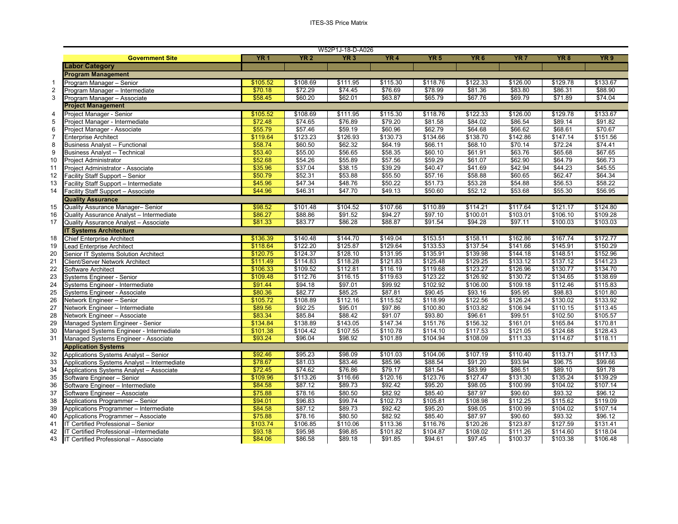|              |                                              |            |             | W52P1J-18-D-A026 |          |             |                 |                 |             |                 |
|--------------|----------------------------------------------|------------|-------------|------------------|----------|-------------|-----------------|-----------------|-------------|-----------------|
|              | <b>Government Site</b>                       | <b>YR1</b> | <b>YR 2</b> | YR <sub>3</sub>  | YR4      | <b>YR 5</b> | YR <sub>6</sub> | YR <sub>7</sub> | <b>YR 8</b> | YR <sub>9</sub> |
|              | <b>Labor Category</b>                        |            |             |                  |          |             |                 |                 |             |                 |
|              | <b>Program Management</b>                    |            |             |                  |          |             |                 |                 |             |                 |
| $\mathbf{1}$ | Program Manager - Senior                     | \$105.52   | \$108.69    | \$111.95         | \$115.30 | \$118.76    | \$122.33        | \$126.00        | \$129.78    | \$133.67        |
|              | Program Manager - Intermediate               | \$70.18    | \$72.29     | \$74.45          | \$76.69  | \$78.99     | \$81.36         | \$83.80         | \$86.31     | \$88.90         |
|              | Program Manager - Associate                  | \$58.45    | \$60.20     | \$62.01          | \$63.87  | \$65.79     | \$67.76         | \$69.79         | \$71.89     | \$74.04         |
|              | <b>Project Management</b>                    |            |             |                  |          |             |                 |                 |             |                 |
|              | Project Manager - Senior                     | \$105.52   | \$108.69    | \$111.95         | \$115.30 | \$118.76    | \$122.33        | \$126.00        | \$129.78    | \$133.67        |
|              | Project Manager - Intermediate               | \$72.48    | \$74.65     | \$76.89          | \$79.20  | \$81.58     | \$84.02         | \$86.54         | \$89.14     | \$91.82         |
|              | Project Manager - Associate                  | \$55.79    | \$57.46     | \$59.19          | \$60.96  | \$62.79     | \$64.68         | \$66.62         | \$68.61     | \$70.67         |
|              | <b>Enterprise Architect</b>                  | \$119.64   | \$123.23    | \$126.93         | \$130.73 | \$134.66    | \$138.70        | \$142.86        | \$147.14    | \$151.56        |
|              | <b>Business Analyst -- Functional</b>        | \$58.74    | \$60.50     | \$62.32          | \$64.19  | \$66.11     | \$68.10         | \$70.14         | \$72.24     | \$74.41         |
|              | <b>Business Analyst -- Technical</b>         | \$53.40    | \$55.00     | \$56.65          | \$58.35  | \$60.10     | \$61.91         | \$63.76         | \$65.68     | \$67.65         |
|              | Project Administrator                        | \$52.68    | \$54.26     | \$55.89          | \$57.56  | \$59.29     | \$61.07         | \$62.90         | \$64.79     | \$66.73         |
|              | Project Administrator - Associate            | \$35.96    | \$37.04     | \$38.15          | \$39.29  | \$40.47     | \$41.69         | \$42.94         | \$44.23     | \$45.55         |
|              | Facility Staff Support - Senior              | \$50.79    | \$52.31     | \$53.88          | \$55.50  | \$57.16     | \$58.88         | \$60.65         | \$62.47     | \$64.34         |
|              | Facility Staff Support - Intermediate        | \$45.96    | \$47.34     | \$48.76          | \$50.22  | \$51.73     | \$53.28         | \$54.88         | \$56.53     | \$58.22         |
|              | Facility Staff Support - Associate           | \$44.96    | \$46.31     | \$47.70          | \$49.13  | \$50.60     | \$52.12         | \$53.68         | \$55.30     | \$56.95         |
|              | <b>Quality Assurance</b>                     |            |             |                  |          |             |                 |                 |             |                 |
|              | Quality Assurance Manager- Senior            | \$98.52    | \$101.48    | \$104.52         | \$107.66 | \$110.89    | \$114.21        | \$117.64        | \$121.17    | \$124.80        |
|              | Quality Assurance Analyst - Intermediate     | \$86.27    | \$88.86     | \$91.52          | \$94.27  | \$97.10     | \$100.01        | \$103.01        | \$106.10    | \$109.28        |
|              | Quality Assurance Analyst - Associate        | \$81.33    | \$83.77     | \$86.28          | \$88.87  | \$91.54     | \$94.28         | \$97.11         | \$100.03    | \$103.03        |
|              | <b>IT Systems Architecture</b>               |            |             |                  |          |             |                 |                 |             |                 |
|              | <b>Chief Enterprise Architect</b>            | \$136.39   | \$140.48    | \$144.70         | \$149.04 | \$153.51    | \$158.11        | \$162.86        | \$167.74    | \$172.77        |
|              | Lead Enterprise Architect                    | \$118.64   | \$122.20    | \$125.87         | \$129.64 | \$133.53    | \$137.54        | \$141.66        | \$145.91    | \$150.29        |
|              | Senior IT Systems Solution Architect         | \$120.75   | \$124.37    | \$128.10         | \$131.95 | \$135.91    | \$139.98        | \$144.18        | \$148.51    | \$152.96        |
|              | <b>Client/Server Network Architect</b>       | \$111.49   | \$114.83    | \$118.28         | \$121.83 | \$125.48    | \$129.25        | \$133.12        | \$137.12    | \$141.23        |
|              | Software Architect                           | \$106.33   | \$109.52    | \$112.81         | \$116.19 | \$119.68    | \$123.27        | \$126.96        | \$130.77    | \$134.70        |
|              | Systems Engineer - Senior                    | \$109.48   | \$112.76    | \$116.15         | \$119.63 | \$123.22    | \$126.92        | \$130.72        | \$134.65    | \$138.69        |
|              | Systems Engineer - Intermediate              | \$91.44    | \$94.18     | \$97.01          | \$99.92  | \$102.92    | \$106.00        | \$109.18        | \$112.46    | \$115.83        |
|              | Systems Engineer - Associate                 | \$80.36    | \$82.77     | \$85.25          | \$87.81  | \$90.45     | \$93.16         | \$95.95         | \$98.83     | \$101.80        |
|              | Network Engineer - Senior                    | \$105.72   | \$108.89    | \$112.16         | \$115.52 | \$118.99    | \$122.56        | \$126.24        | \$130.02    | \$133.92        |
|              | Network Engineer - Intermediate              | \$89.56    | \$92.25     | \$95.01          | \$97.86  | \$100.80    | \$103.82        | \$106.94        | \$110.15    | \$113.45        |
|              | Network Engineer - Associate                 | \$83.34    | \$85.84     | \$88.42          | \$91.07  | \$93.80     | \$96.61         | \$99.51         | \$102.50    | \$105.57        |
|              | Managed System Engineer - Senior             | \$134.84   | \$138.89    | \$143.05         | \$147.34 | \$151.76    | \$156.32        | \$161.01        | \$165.84    | \$170.81        |
|              | Managed Systems Engineer - Intermediate      | \$101.38   | \$104.42    | \$107.55         | \$110.78 | \$114.10    | \$117.53        | \$121.05        | \$124.68    | \$128.43        |
|              | Managed Systems Engineer - Associate         | \$93.24    | \$96.04     | \$98.92          | \$101.89 | \$104.94    | \$108.09        | \$111.33        | \$114.67    | \$118.11        |
|              | <b>Application Systems</b>                   |            |             |                  |          |             |                 |                 |             |                 |
|              | Applications Systems Analyst - Senior        | \$92.46    | \$95.23     | \$98.09          | \$101.03 | \$104.06    | \$107.19        | \$110.40        | \$113.71    | \$117.13        |
|              | Applications Systems Analyst - Intermediate  | \$78.67    | \$81.03     | \$83.46          | \$85.96  | \$88.54     | \$91.20         | \$93.94         | \$96.75     | \$99.66         |
|              | Applications Systems Analyst - Associate     | \$72.45    | \$74.62     | \$76.86          | \$79.17  | \$81.54     | \$83.99         | \$86.51         | \$89.10     | \$91.78         |
|              | Software Engineer - Senior                   | \$109.96   | \$113.26    | \$116.66         | \$120.16 | \$123.76    | \$127.47        | \$131.30        | \$135.24    | \$139.29        |
|              | Software Engineer - Intermediate             | \$84.58    | \$87.12     | \$89.73          | \$92.42  | \$95.20     | \$98.05         | \$100.99        | \$104.02    | \$107.14        |
|              | Software Engineer - Associate                | \$75.88    | \$78.16     | \$80.50          | \$82.92  | \$85.40     | \$87.97         | \$90.60         | \$93.32     | \$96.12         |
|              | Applications Programmer - Senior             | \$94.01    | \$96.83     | \$99.74          | \$102.73 | \$105.81    | \$108.98        | \$112.25        | \$115.62    | \$119.09        |
|              | Applications Programmer - Intermediate       | \$84.58    | \$87.12     | \$89.73          | \$92.42  | \$95.20     | \$98.05         | \$100.99        | \$104.02    | \$107.14        |
|              | Applications Programmer - Associate          | \$75.88    | \$78.16     | \$80.50          | \$82.92  | \$85.40     | \$87.97         | \$90.60         | \$93.32     | \$96.12         |
|              | IT Certified Professional - Senior           | \$103.74   | \$106.85    | \$110.06         | \$113.36 | \$116.76    | \$120.26        | \$123.87        | \$127.59    | \$131.41        |
| 42           | IT Certified Professional -Intermediate      | \$93.18    | \$95.98     | \$98.85          | \$101.82 | \$104.87    | \$108.02        | \$111.26        | \$114.60    | \$118.04        |
| 43           | <b>IT Certified Professional - Associate</b> | \$84.06    | \$86.58     | \$89.18          | \$91.85  | \$94.61     | \$97.45         | \$100.37        | \$103.38    | \$106.48        |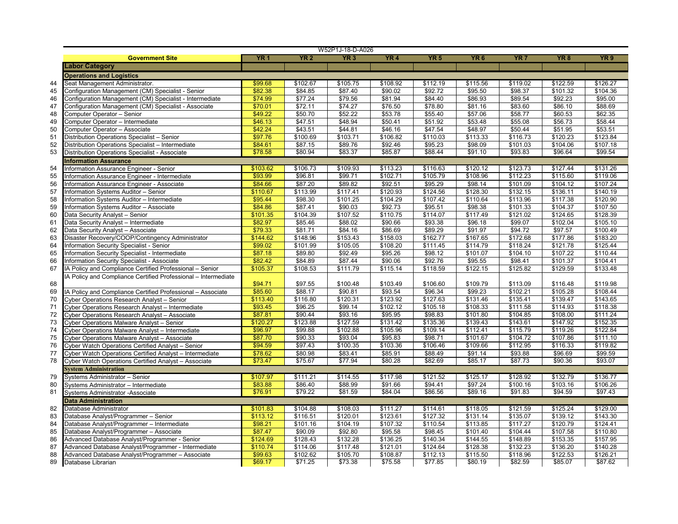| <b>YR 2</b><br>YR <sub>3</sub><br>YR <sub>4</sub><br><b>Government Site</b><br><b>YR1</b><br>YR <sub>5</sub><br>YR <sub>6</sub><br>YR 7<br>YR 8<br><b>Labor Category</b><br><b>Operations and Logistics</b><br>\$99.68<br>\$102.67<br>Seat Management Administrator.<br>\$105.75<br>\$108.92<br>\$112.19<br>\$115.56<br>\$119.02<br>\$122.59<br>44<br>\$82.38<br>\$84.85<br>\$87.40<br>\$92.72<br>45<br>Configuration Management (CM) Specialist - Senior<br>\$90.02<br>\$95.50<br>\$98.37<br>\$101.32<br>\$74.99<br>\$77.24<br>\$79.56<br>\$81.94<br>\$84.40<br>\$86.93<br>\$89.54<br>\$92.23<br>46<br>Configuration Management (CM) Specialist - Intermediate<br>\$70.01<br>\$72.11<br>\$74.27<br>\$76.50<br>\$78.80<br>\$81.16<br>\$83.60<br>\$86.10<br>47<br>Configuration Management (CM) Specialist - Associate<br>\$49.22<br>\$50.70<br>\$52.22<br>\$53.78<br>\$55.40<br>\$57.06<br>\$58.77<br>\$60.53<br>48<br>Computer Operator - Senior<br>\$46.13<br>$\overline{$47.51}$<br>\$51.92<br>$\overline{$}53.48$<br>49<br>\$48.94<br>\$50.41<br>\$55.08<br>\$56.73<br>Computer Operator - Intermediate<br>50<br>\$42.24<br>\$43.51<br>\$44.81<br>\$47.54<br>\$48.97<br>\$50.44<br>\$46.16<br>\$51.95<br>Computer Operator - Associate<br>\$97.76<br>\$110.03<br>\$113.33<br>51<br>\$100.69<br>\$103.71<br>\$106.82<br>\$116.73<br>\$120.23<br>Distribution Operations Specialist - Senior<br>\$84.61<br>\$87.15<br>\$89.76<br>\$92.46<br>\$95.23<br>\$98.09<br>\$101.03<br>\$104.06<br>52<br>Distribution Operations Specialist - Intermediate<br>53<br>\$78.58<br>\$80.94<br>\$83.37<br>\$85.87<br>\$88.44<br>\$91.10<br>\$93.83<br>\$96.64<br>Distribution Operations Specialist - Associate<br><b>Information Assurance</b><br>54<br>\$103.62<br>\$106.73<br>\$109.93<br>\$113.23<br>\$116.63<br>\$120.12<br>\$123.73<br>\$127.44<br>Information Assurance Engineer - Senior<br>\$105.79<br>55<br>\$93.99<br>\$96.81<br>\$99.71<br>\$102.71<br>\$108.96<br>\$112.23<br>\$115.60<br>Information Assurance Engineer - Intermediate<br>\$84.66<br>\$87.20<br>\$89.82<br>\$92.51<br>\$95.29<br>\$98.14<br>\$101.09<br>56<br>\$104.12<br>Information Assurance Engineer - Associate<br>57<br>\$110.67<br>\$113.99<br>\$117.41<br>\$120.93<br>\$124.56<br>\$128.30<br>\$132.15<br>\$136.11<br>Information Systems Auditor - Senior<br>58<br>\$95.44<br>\$98.30<br>\$101.25<br>\$104.29<br>\$107.42<br>\$110.64<br>\$113.96<br>\$117.38<br>Information Systems Auditor - Intermediate<br>\$84.86<br>\$87.41<br>59<br>\$90.03<br>\$92.73<br>\$95.51<br>\$98.38<br>\$101.33<br>\$104.37<br>Information Systems Auditor - Associate<br>\$104.39<br>\$107.52<br>\$114.07<br>\$117.49<br>\$121.02<br>\$124.65<br>60<br>\$101.35<br>\$110.75<br>Data Security Analyst - Senior<br>\$82.97<br>61<br>\$85.46<br>\$88.02<br>\$90.66<br>\$93.38<br>\$96.18<br>\$99.07<br>\$102.04<br>Data Security Analyst - Intermediate<br>\$79.33<br>\$81.71<br>\$84.16<br>\$86.69<br>\$89.29<br>\$91.97<br>\$94.72<br>\$97.57<br>62<br>Data Security Analyst - Associate<br>63<br>\$144.62<br>\$148.96<br>\$153.43<br>\$158.03<br>\$162.77<br>\$167.65<br>\$172.68<br>\$177.86<br>Disaster Recovery/COOP/Contingency Administrator<br>\$99.02<br>\$105.05<br>\$108.20<br>\$111.45<br>\$114.79<br>\$118.24<br>\$121.78<br>64<br>\$101.99<br>Information Security Specialist - Senior<br>65<br>\$87.18<br>\$89.80<br>\$92.49<br>\$95.26<br>\$98.12<br>\$101.07<br>\$104.10<br>\$107.22<br>Information Security Specialist - Intermediate<br>\$82.42<br>\$84.89<br>\$87.44<br>\$92.76<br>\$95.55<br>\$98.41<br>66<br>\$90.06<br>\$101.37<br>Information Security Specialist - Associate<br>67<br>\$105.37<br>\$108.53<br>\$122.15<br>\$125.82<br>IA Policy and Compliance Certified Professional - Senior<br>\$111.79<br>\$115.14<br>\$118.59<br>\$129.59<br>IA Policy and Compliance Certified Professional - Intermediate<br>68<br>\$94.71<br>\$97.55<br>\$100.48<br>\$103.49<br>\$106.60<br>\$109.79<br>\$113.09<br>\$116.48<br>\$85.60<br>\$88.17<br>\$90.81<br>\$93.54<br>\$96.34<br>\$99.23<br>69<br>\$102.21<br>\$105.28<br>IA Policy and Compliance Certified Professional - Associate<br>\$113.40<br>\$123.92<br>\$127.63<br>70<br>\$116.80<br>\$120.31<br>\$131.46<br>\$135.41<br>\$139.47<br>Cyber Operations Research Analyst - Senior<br>\$93.45<br>\$96.25<br>\$105.18<br>\$108.33<br>\$99.14<br>\$102.12<br>\$111.58<br>\$114.93<br>71<br>Cyber Operations Research Analyst - Intermediate<br>\$87.81<br>\$90.44<br>\$98.83<br>72<br>\$93.16<br>\$95.95<br>\$101.80<br>\$104.85<br>\$108.00<br>Cyber Operations Research Analyst - Associate<br>\$120.27<br>\$123.88<br>\$131.42<br>\$135.36<br>\$139.43<br>73<br>\$127.59<br>\$143.61<br>\$147.92<br>Cyber Operations Malware Analyst - Senior<br>\$96.97<br>\$109.14<br>\$112.41<br>74<br>\$99.88<br>\$102.88<br>\$105.96<br>\$115.79<br>\$119.26<br>Cyber Operations Malware Analyst - Intermediate<br>\$87.70<br>75<br>\$90.33<br>\$93.04<br>\$95.83<br>\$98.71<br>\$101.67<br>\$104.72<br>\$107.86<br>Cyber Operations Malware Analyst - Associate<br>\$94.59<br>\$97.43<br>76<br>\$100.35<br>\$103.36<br>\$106.46<br>\$109.66<br>\$112.95<br>\$116.33<br>Cyber Watch Operations Certified Analyst - Senior<br>\$78.62<br>\$80.98<br>\$83.41<br>\$85.91<br>\$88.49<br>$\overline{$}91.14$<br>\$93.88<br>\$96.69<br>77<br>Cyber Watch Operations Certified Analyst - Intermediate<br>78<br>\$73.47<br>\$75.67<br>\$82.69<br>\$85.17<br>\$87.73<br>\$90.36<br>\$77.94<br>\$80.28<br>Cyber Watch Operations Certified Analyst - Associate<br><b>System Administration</b><br>79<br>\$107.97<br>\$111.21<br>\$117.98<br>\$121.52<br>\$125.17<br>\$128.92<br>Systems Administrator - Senior<br>\$114.55<br>\$132.79<br>80<br>\$83.88<br>\$86.40<br>\$88.99<br>\$91.66<br>\$94.41<br>\$97.24<br>\$100.16<br>\$103.16<br>Systems Administrator - Intermediate<br>\$76.91<br>\$79.22<br>\$81.59<br>\$84.04<br>\$86.56<br>\$89.16<br>\$91.83<br>\$94.59<br>81<br>Systems Administrator -Associate<br><b>Data Administration</b><br>\$104.88<br>\$108.03<br>\$114.61<br>\$118.05<br>\$121.59<br>\$125.24<br>82<br>\$101.83<br>\$111.27<br>Database Administrator<br>83<br>\$113.12<br>\$116.51<br>\$120.01<br>\$123.61<br>\$127.32<br>\$131.14<br>\$135.07<br>\$139.12<br>Database Analyst/Programmer - Senior<br>84 | YR <sub>9</sub><br>\$95.00<br>\$88.69<br>\$62.35<br>\$58.44<br>\$53.51<br>\$123.84<br>\$107.18<br>\$99.54<br>\$131.26<br>\$119.06<br>\$107.24<br>\$140.19<br>\$120.90<br>\$107.50<br>\$128.39<br>\$105.10<br>\$100.49<br>\$183.20<br>\$125.44<br>\$110.44<br>\$104.41<br>\$133.48<br>\$119.98<br>\$108.44<br>\$93.07<br>\$98.21<br>\$101.16<br>\$104.19<br>\$107.32<br>\$110.54<br>\$113.85<br>\$117.27<br>\$120.79<br>Database Analyst/Programmer - Intermediate<br>\$87.47<br>\$90.09<br>\$92.80<br>\$98.45<br>\$101.40<br>\$104.44<br>\$107.58<br>Database Analyst/Programmer - Associate<br>\$95.58<br>\$124.69<br>\$128.43<br>\$132.28<br>\$136.25<br>\$140.34<br>\$144.55<br>\$148.89<br>\$153.35<br>Advanced Database Analyst/Programmer - Senior<br>\$110.74<br>\$114.06<br>\$117.48<br>\$121.01<br>\$124.64<br>\$128.38<br>\$132.23<br>\$136.20<br>Advanced Database Analyst/Programmer - Intermediate |                    |         |         | W52P1J-18-D-A026 |         |         |         |         |         |          |
|--------------------------------------------------------------------------------------------------------------------------------------------------------------------------------------------------------------------------------------------------------------------------------------------------------------------------------------------------------------------------------------------------------------------------------------------------------------------------------------------------------------------------------------------------------------------------------------------------------------------------------------------------------------------------------------------------------------------------------------------------------------------------------------------------------------------------------------------------------------------------------------------------------------------------------------------------------------------------------------------------------------------------------------------------------------------------------------------------------------------------------------------------------------------------------------------------------------------------------------------------------------------------------------------------------------------------------------------------------------------------------------------------------------------------------------------------------------------------------------------------------------------------------------------------------------------------------------------------------------------------------------------------------------------------------------------------------------------------------------------------------------------------------------------------------------------------------------------------------------------------------------------------------------------------------------------------------------------------------------------------------------------------------------------------------------------------------------------------------------------------------------------------------------------------------------------------------------------------------------------------------------------------------------------------------------------------------------------------------------------------------------------------------------------------------------------------------------------------------------------------------------------------------------------------------------------------------------------------------------------------------------------------------------------------------------------------------------------------------------------------------------------------------------------------------------------------------------------------------------------------------------------------------------------------------------------------------------------------------------------------------------------------------------------------------------------------------------------------------------------------------------------------------------------------------------------------------------------------------------------------------------------------------------------------------------------------------------------------------------------------------------------------------------------------------------------------------------------------------------------------------------------------------------------------------------------------------------------------------------------------------------------------------------------------------------------------------------------------------------------------------------------------------------------------------------------------------------------------------------------------------------------------------------------------------------------------------------------------------------------------------------------------------------------------------------------------------------------------------------------------------------------------------------------------------------------------------------------------------------------------------------------------------------------------------------------------------------------------------------------------------------------------------------------------------------------------------------------------------------------------------------------------------------------------------------------------------------------------------------------------------------------------------------------------------------------------------------------------------------------------------------------------------------------------------------------------------------------------------------------------------------------------------------------------------------------------------------------------------------------------------------------------------------------------------------------------------------------------------------------------------------------------------------------------------------------------------------------------------------------------------------------------------------------------------------------------------------------------------------------------------------------------------------------------------------------------------------------------------------------------------------------------------------------------------------------------------------------------------------------------------------------------------------------------------------------------------------------------------------------------------------------------------------------------------------------------------------------------------------------------------------------------------------------------------------------------------------------------------------------------------------------------------------------------------------------------------------------------------------------------------------------------------------------------------------------------------------------------------------------------------------------------------------------------------------------------------------------------------|-----------------------------------------------------------------------------------------------------------------------------------------------------------------------------------------------------------------------------------------------------------------------------------------------------------------------------------------------------------------------------------------------------------------------------------------------------------------------------------------------------------------------------------------------------------------------------------------------------------------------------------------------------------------------------------------------------------------------------------------------------------------------------------------------------------------------------------------------------------------------------------------------------------------|--------------------|---------|---------|------------------|---------|---------|---------|---------|---------|----------|
|                                                                                                                                                                                                                                                                                                                                                                                                                                                                                                                                                                                                                                                                                                                                                                                                                                                                                                                                                                                                                                                                                                                                                                                                                                                                                                                                                                                                                                                                                                                                                                                                                                                                                                                                                                                                                                                                                                                                                                                                                                                                                                                                                                                                                                                                                                                                                                                                                                                                                                                                                                                                                                                                                                                                                                                                                                                                                                                                                                                                                                                                                                                                                                                                                                                                                                                                                                                                                                                                                                                                                                                                                                                                                                                                                                                                                                                                                                                                                                                                                                                                                                                                                                                                                                                                                                                                                                                                                                                                                                                                                                                                                                                                                                                                                                                                                                                                                                                                                                                                                                                                                                                                                                                                                                                                                                                                                                                                                                                                                                                                                                                                                                                                                                                                                                                                                                                                                                                                                                                                                                                                                                                                                                                                                                                                                                                                                        |                                                                                                                                                                                                                                                                                                                                                                                                                                                                                                                                                                                                                                                                                                                                                                                                                                                                                                                 |                    |         |         |                  |         |         |         |         |         |          |
|                                                                                                                                                                                                                                                                                                                                                                                                                                                                                                                                                                                                                                                                                                                                                                                                                                                                                                                                                                                                                                                                                                                                                                                                                                                                                                                                                                                                                                                                                                                                                                                                                                                                                                                                                                                                                                                                                                                                                                                                                                                                                                                                                                                                                                                                                                                                                                                                                                                                                                                                                                                                                                                                                                                                                                                                                                                                                                                                                                                                                                                                                                                                                                                                                                                                                                                                                                                                                                                                                                                                                                                                                                                                                                                                                                                                                                                                                                                                                                                                                                                                                                                                                                                                                                                                                                                                                                                                                                                                                                                                                                                                                                                                                                                                                                                                                                                                                                                                                                                                                                                                                                                                                                                                                                                                                                                                                                                                                                                                                                                                                                                                                                                                                                                                                                                                                                                                                                                                                                                                                                                                                                                                                                                                                                                                                                                                                        |                                                                                                                                                                                                                                                                                                                                                                                                                                                                                                                                                                                                                                                                                                                                                                                                                                                                                                                 |                    |         |         |                  |         |         |         |         |         |          |
|                                                                                                                                                                                                                                                                                                                                                                                                                                                                                                                                                                                                                                                                                                                                                                                                                                                                                                                                                                                                                                                                                                                                                                                                                                                                                                                                                                                                                                                                                                                                                                                                                                                                                                                                                                                                                                                                                                                                                                                                                                                                                                                                                                                                                                                                                                                                                                                                                                                                                                                                                                                                                                                                                                                                                                                                                                                                                                                                                                                                                                                                                                                                                                                                                                                                                                                                                                                                                                                                                                                                                                                                                                                                                                                                                                                                                                                                                                                                                                                                                                                                                                                                                                                                                                                                                                                                                                                                                                                                                                                                                                                                                                                                                                                                                                                                                                                                                                                                                                                                                                                                                                                                                                                                                                                                                                                                                                                                                                                                                                                                                                                                                                                                                                                                                                                                                                                                                                                                                                                                                                                                                                                                                                                                                                                                                                                                                        |                                                                                                                                                                                                                                                                                                                                                                                                                                                                                                                                                                                                                                                                                                                                                                                                                                                                                                                 |                    |         |         |                  |         |         |         |         |         |          |
|                                                                                                                                                                                                                                                                                                                                                                                                                                                                                                                                                                                                                                                                                                                                                                                                                                                                                                                                                                                                                                                                                                                                                                                                                                                                                                                                                                                                                                                                                                                                                                                                                                                                                                                                                                                                                                                                                                                                                                                                                                                                                                                                                                                                                                                                                                                                                                                                                                                                                                                                                                                                                                                                                                                                                                                                                                                                                                                                                                                                                                                                                                                                                                                                                                                                                                                                                                                                                                                                                                                                                                                                                                                                                                                                                                                                                                                                                                                                                                                                                                                                                                                                                                                                                                                                                                                                                                                                                                                                                                                                                                                                                                                                                                                                                                                                                                                                                                                                                                                                                                                                                                                                                                                                                                                                                                                                                                                                                                                                                                                                                                                                                                                                                                                                                                                                                                                                                                                                                                                                                                                                                                                                                                                                                                                                                                                                                        |                                                                                                                                                                                                                                                                                                                                                                                                                                                                                                                                                                                                                                                                                                                                                                                                                                                                                                                 |                    |         |         |                  |         |         |         |         |         | \$126.27 |
|                                                                                                                                                                                                                                                                                                                                                                                                                                                                                                                                                                                                                                                                                                                                                                                                                                                                                                                                                                                                                                                                                                                                                                                                                                                                                                                                                                                                                                                                                                                                                                                                                                                                                                                                                                                                                                                                                                                                                                                                                                                                                                                                                                                                                                                                                                                                                                                                                                                                                                                                                                                                                                                                                                                                                                                                                                                                                                                                                                                                                                                                                                                                                                                                                                                                                                                                                                                                                                                                                                                                                                                                                                                                                                                                                                                                                                                                                                                                                                                                                                                                                                                                                                                                                                                                                                                                                                                                                                                                                                                                                                                                                                                                                                                                                                                                                                                                                                                                                                                                                                                                                                                                                                                                                                                                                                                                                                                                                                                                                                                                                                                                                                                                                                                                                                                                                                                                                                                                                                                                                                                                                                                                                                                                                                                                                                                                                        |                                                                                                                                                                                                                                                                                                                                                                                                                                                                                                                                                                                                                                                                                                                                                                                                                                                                                                                 |                    |         |         |                  |         |         |         |         |         | \$104.36 |
|                                                                                                                                                                                                                                                                                                                                                                                                                                                                                                                                                                                                                                                                                                                                                                                                                                                                                                                                                                                                                                                                                                                                                                                                                                                                                                                                                                                                                                                                                                                                                                                                                                                                                                                                                                                                                                                                                                                                                                                                                                                                                                                                                                                                                                                                                                                                                                                                                                                                                                                                                                                                                                                                                                                                                                                                                                                                                                                                                                                                                                                                                                                                                                                                                                                                                                                                                                                                                                                                                                                                                                                                                                                                                                                                                                                                                                                                                                                                                                                                                                                                                                                                                                                                                                                                                                                                                                                                                                                                                                                                                                                                                                                                                                                                                                                                                                                                                                                                                                                                                                                                                                                                                                                                                                                                                                                                                                                                                                                                                                                                                                                                                                                                                                                                                                                                                                                                                                                                                                                                                                                                                                                                                                                                                                                                                                                                                        |                                                                                                                                                                                                                                                                                                                                                                                                                                                                                                                                                                                                                                                                                                                                                                                                                                                                                                                 |                    |         |         |                  |         |         |         |         |         |          |
|                                                                                                                                                                                                                                                                                                                                                                                                                                                                                                                                                                                                                                                                                                                                                                                                                                                                                                                                                                                                                                                                                                                                                                                                                                                                                                                                                                                                                                                                                                                                                                                                                                                                                                                                                                                                                                                                                                                                                                                                                                                                                                                                                                                                                                                                                                                                                                                                                                                                                                                                                                                                                                                                                                                                                                                                                                                                                                                                                                                                                                                                                                                                                                                                                                                                                                                                                                                                                                                                                                                                                                                                                                                                                                                                                                                                                                                                                                                                                                                                                                                                                                                                                                                                                                                                                                                                                                                                                                                                                                                                                                                                                                                                                                                                                                                                                                                                                                                                                                                                                                                                                                                                                                                                                                                                                                                                                                                                                                                                                                                                                                                                                                                                                                                                                                                                                                                                                                                                                                                                                                                                                                                                                                                                                                                                                                                                                        |                                                                                                                                                                                                                                                                                                                                                                                                                                                                                                                                                                                                                                                                                                                                                                                                                                                                                                                 |                    |         |         |                  |         |         |         |         |         |          |
|                                                                                                                                                                                                                                                                                                                                                                                                                                                                                                                                                                                                                                                                                                                                                                                                                                                                                                                                                                                                                                                                                                                                                                                                                                                                                                                                                                                                                                                                                                                                                                                                                                                                                                                                                                                                                                                                                                                                                                                                                                                                                                                                                                                                                                                                                                                                                                                                                                                                                                                                                                                                                                                                                                                                                                                                                                                                                                                                                                                                                                                                                                                                                                                                                                                                                                                                                                                                                                                                                                                                                                                                                                                                                                                                                                                                                                                                                                                                                                                                                                                                                                                                                                                                                                                                                                                                                                                                                                                                                                                                                                                                                                                                                                                                                                                                                                                                                                                                                                                                                                                                                                                                                                                                                                                                                                                                                                                                                                                                                                                                                                                                                                                                                                                                                                                                                                                                                                                                                                                                                                                                                                                                                                                                                                                                                                                                                        |                                                                                                                                                                                                                                                                                                                                                                                                                                                                                                                                                                                                                                                                                                                                                                                                                                                                                                                 |                    |         |         |                  |         |         |         |         |         |          |
|                                                                                                                                                                                                                                                                                                                                                                                                                                                                                                                                                                                                                                                                                                                                                                                                                                                                                                                                                                                                                                                                                                                                                                                                                                                                                                                                                                                                                                                                                                                                                                                                                                                                                                                                                                                                                                                                                                                                                                                                                                                                                                                                                                                                                                                                                                                                                                                                                                                                                                                                                                                                                                                                                                                                                                                                                                                                                                                                                                                                                                                                                                                                                                                                                                                                                                                                                                                                                                                                                                                                                                                                                                                                                                                                                                                                                                                                                                                                                                                                                                                                                                                                                                                                                                                                                                                                                                                                                                                                                                                                                                                                                                                                                                                                                                                                                                                                                                                                                                                                                                                                                                                                                                                                                                                                                                                                                                                                                                                                                                                                                                                                                                                                                                                                                                                                                                                                                                                                                                                                                                                                                                                                                                                                                                                                                                                                                        |                                                                                                                                                                                                                                                                                                                                                                                                                                                                                                                                                                                                                                                                                                                                                                                                                                                                                                                 |                    |         |         |                  |         |         |         |         |         |          |
|                                                                                                                                                                                                                                                                                                                                                                                                                                                                                                                                                                                                                                                                                                                                                                                                                                                                                                                                                                                                                                                                                                                                                                                                                                                                                                                                                                                                                                                                                                                                                                                                                                                                                                                                                                                                                                                                                                                                                                                                                                                                                                                                                                                                                                                                                                                                                                                                                                                                                                                                                                                                                                                                                                                                                                                                                                                                                                                                                                                                                                                                                                                                                                                                                                                                                                                                                                                                                                                                                                                                                                                                                                                                                                                                                                                                                                                                                                                                                                                                                                                                                                                                                                                                                                                                                                                                                                                                                                                                                                                                                                                                                                                                                                                                                                                                                                                                                                                                                                                                                                                                                                                                                                                                                                                                                                                                                                                                                                                                                                                                                                                                                                                                                                                                                                                                                                                                                                                                                                                                                                                                                                                                                                                                                                                                                                                                                        |                                                                                                                                                                                                                                                                                                                                                                                                                                                                                                                                                                                                                                                                                                                                                                                                                                                                                                                 |                    |         |         |                  |         |         |         |         |         |          |
|                                                                                                                                                                                                                                                                                                                                                                                                                                                                                                                                                                                                                                                                                                                                                                                                                                                                                                                                                                                                                                                                                                                                                                                                                                                                                                                                                                                                                                                                                                                                                                                                                                                                                                                                                                                                                                                                                                                                                                                                                                                                                                                                                                                                                                                                                                                                                                                                                                                                                                                                                                                                                                                                                                                                                                                                                                                                                                                                                                                                                                                                                                                                                                                                                                                                                                                                                                                                                                                                                                                                                                                                                                                                                                                                                                                                                                                                                                                                                                                                                                                                                                                                                                                                                                                                                                                                                                                                                                                                                                                                                                                                                                                                                                                                                                                                                                                                                                                                                                                                                                                                                                                                                                                                                                                                                                                                                                                                                                                                                                                                                                                                                                                                                                                                                                                                                                                                                                                                                                                                                                                                                                                                                                                                                                                                                                                                                        |                                                                                                                                                                                                                                                                                                                                                                                                                                                                                                                                                                                                                                                                                                                                                                                                                                                                                                                 |                    |         |         |                  |         |         |         |         |         |          |
|                                                                                                                                                                                                                                                                                                                                                                                                                                                                                                                                                                                                                                                                                                                                                                                                                                                                                                                                                                                                                                                                                                                                                                                                                                                                                                                                                                                                                                                                                                                                                                                                                                                                                                                                                                                                                                                                                                                                                                                                                                                                                                                                                                                                                                                                                                                                                                                                                                                                                                                                                                                                                                                                                                                                                                                                                                                                                                                                                                                                                                                                                                                                                                                                                                                                                                                                                                                                                                                                                                                                                                                                                                                                                                                                                                                                                                                                                                                                                                                                                                                                                                                                                                                                                                                                                                                                                                                                                                                                                                                                                                                                                                                                                                                                                                                                                                                                                                                                                                                                                                                                                                                                                                                                                                                                                                                                                                                                                                                                                                                                                                                                                                                                                                                                                                                                                                                                                                                                                                                                                                                                                                                                                                                                                                                                                                                                                        |                                                                                                                                                                                                                                                                                                                                                                                                                                                                                                                                                                                                                                                                                                                                                                                                                                                                                                                 |                    |         |         |                  |         |         |         |         |         |          |
|                                                                                                                                                                                                                                                                                                                                                                                                                                                                                                                                                                                                                                                                                                                                                                                                                                                                                                                                                                                                                                                                                                                                                                                                                                                                                                                                                                                                                                                                                                                                                                                                                                                                                                                                                                                                                                                                                                                                                                                                                                                                                                                                                                                                                                                                                                                                                                                                                                                                                                                                                                                                                                                                                                                                                                                                                                                                                                                                                                                                                                                                                                                                                                                                                                                                                                                                                                                                                                                                                                                                                                                                                                                                                                                                                                                                                                                                                                                                                                                                                                                                                                                                                                                                                                                                                                                                                                                                                                                                                                                                                                                                                                                                                                                                                                                                                                                                                                                                                                                                                                                                                                                                                                                                                                                                                                                                                                                                                                                                                                                                                                                                                                                                                                                                                                                                                                                                                                                                                                                                                                                                                                                                                                                                                                                                                                                                                        |                                                                                                                                                                                                                                                                                                                                                                                                                                                                                                                                                                                                                                                                                                                                                                                                                                                                                                                 |                    |         |         |                  |         |         |         |         |         |          |
|                                                                                                                                                                                                                                                                                                                                                                                                                                                                                                                                                                                                                                                                                                                                                                                                                                                                                                                                                                                                                                                                                                                                                                                                                                                                                                                                                                                                                                                                                                                                                                                                                                                                                                                                                                                                                                                                                                                                                                                                                                                                                                                                                                                                                                                                                                                                                                                                                                                                                                                                                                                                                                                                                                                                                                                                                                                                                                                                                                                                                                                                                                                                                                                                                                                                                                                                                                                                                                                                                                                                                                                                                                                                                                                                                                                                                                                                                                                                                                                                                                                                                                                                                                                                                                                                                                                                                                                                                                                                                                                                                                                                                                                                                                                                                                                                                                                                                                                                                                                                                                                                                                                                                                                                                                                                                                                                                                                                                                                                                                                                                                                                                                                                                                                                                                                                                                                                                                                                                                                                                                                                                                                                                                                                                                                                                                                                                        |                                                                                                                                                                                                                                                                                                                                                                                                                                                                                                                                                                                                                                                                                                                                                                                                                                                                                                                 |                    |         |         |                  |         |         |         |         |         |          |
|                                                                                                                                                                                                                                                                                                                                                                                                                                                                                                                                                                                                                                                                                                                                                                                                                                                                                                                                                                                                                                                                                                                                                                                                                                                                                                                                                                                                                                                                                                                                                                                                                                                                                                                                                                                                                                                                                                                                                                                                                                                                                                                                                                                                                                                                                                                                                                                                                                                                                                                                                                                                                                                                                                                                                                                                                                                                                                                                                                                                                                                                                                                                                                                                                                                                                                                                                                                                                                                                                                                                                                                                                                                                                                                                                                                                                                                                                                                                                                                                                                                                                                                                                                                                                                                                                                                                                                                                                                                                                                                                                                                                                                                                                                                                                                                                                                                                                                                                                                                                                                                                                                                                                                                                                                                                                                                                                                                                                                                                                                                                                                                                                                                                                                                                                                                                                                                                                                                                                                                                                                                                                                                                                                                                                                                                                                                                                        |                                                                                                                                                                                                                                                                                                                                                                                                                                                                                                                                                                                                                                                                                                                                                                                                                                                                                                                 |                    |         |         |                  |         |         |         |         |         |          |
|                                                                                                                                                                                                                                                                                                                                                                                                                                                                                                                                                                                                                                                                                                                                                                                                                                                                                                                                                                                                                                                                                                                                                                                                                                                                                                                                                                                                                                                                                                                                                                                                                                                                                                                                                                                                                                                                                                                                                                                                                                                                                                                                                                                                                                                                                                                                                                                                                                                                                                                                                                                                                                                                                                                                                                                                                                                                                                                                                                                                                                                                                                                                                                                                                                                                                                                                                                                                                                                                                                                                                                                                                                                                                                                                                                                                                                                                                                                                                                                                                                                                                                                                                                                                                                                                                                                                                                                                                                                                                                                                                                                                                                                                                                                                                                                                                                                                                                                                                                                                                                                                                                                                                                                                                                                                                                                                                                                                                                                                                                                                                                                                                                                                                                                                                                                                                                                                                                                                                                                                                                                                                                                                                                                                                                                                                                                                                        |                                                                                                                                                                                                                                                                                                                                                                                                                                                                                                                                                                                                                                                                                                                                                                                                                                                                                                                 |                    |         |         |                  |         |         |         |         |         |          |
|                                                                                                                                                                                                                                                                                                                                                                                                                                                                                                                                                                                                                                                                                                                                                                                                                                                                                                                                                                                                                                                                                                                                                                                                                                                                                                                                                                                                                                                                                                                                                                                                                                                                                                                                                                                                                                                                                                                                                                                                                                                                                                                                                                                                                                                                                                                                                                                                                                                                                                                                                                                                                                                                                                                                                                                                                                                                                                                                                                                                                                                                                                                                                                                                                                                                                                                                                                                                                                                                                                                                                                                                                                                                                                                                                                                                                                                                                                                                                                                                                                                                                                                                                                                                                                                                                                                                                                                                                                                                                                                                                                                                                                                                                                                                                                                                                                                                                                                                                                                                                                                                                                                                                                                                                                                                                                                                                                                                                                                                                                                                                                                                                                                                                                                                                                                                                                                                                                                                                                                                                                                                                                                                                                                                                                                                                                                                                        |                                                                                                                                                                                                                                                                                                                                                                                                                                                                                                                                                                                                                                                                                                                                                                                                                                                                                                                 |                    |         |         |                  |         |         |         |         |         |          |
|                                                                                                                                                                                                                                                                                                                                                                                                                                                                                                                                                                                                                                                                                                                                                                                                                                                                                                                                                                                                                                                                                                                                                                                                                                                                                                                                                                                                                                                                                                                                                                                                                                                                                                                                                                                                                                                                                                                                                                                                                                                                                                                                                                                                                                                                                                                                                                                                                                                                                                                                                                                                                                                                                                                                                                                                                                                                                                                                                                                                                                                                                                                                                                                                                                                                                                                                                                                                                                                                                                                                                                                                                                                                                                                                                                                                                                                                                                                                                                                                                                                                                                                                                                                                                                                                                                                                                                                                                                                                                                                                                                                                                                                                                                                                                                                                                                                                                                                                                                                                                                                                                                                                                                                                                                                                                                                                                                                                                                                                                                                                                                                                                                                                                                                                                                                                                                                                                                                                                                                                                                                                                                                                                                                                                                                                                                                                                        |                                                                                                                                                                                                                                                                                                                                                                                                                                                                                                                                                                                                                                                                                                                                                                                                                                                                                                                 |                    |         |         |                  |         |         |         |         |         |          |
|                                                                                                                                                                                                                                                                                                                                                                                                                                                                                                                                                                                                                                                                                                                                                                                                                                                                                                                                                                                                                                                                                                                                                                                                                                                                                                                                                                                                                                                                                                                                                                                                                                                                                                                                                                                                                                                                                                                                                                                                                                                                                                                                                                                                                                                                                                                                                                                                                                                                                                                                                                                                                                                                                                                                                                                                                                                                                                                                                                                                                                                                                                                                                                                                                                                                                                                                                                                                                                                                                                                                                                                                                                                                                                                                                                                                                                                                                                                                                                                                                                                                                                                                                                                                                                                                                                                                                                                                                                                                                                                                                                                                                                                                                                                                                                                                                                                                                                                                                                                                                                                                                                                                                                                                                                                                                                                                                                                                                                                                                                                                                                                                                                                                                                                                                                                                                                                                                                                                                                                                                                                                                                                                                                                                                                                                                                                                                        |                                                                                                                                                                                                                                                                                                                                                                                                                                                                                                                                                                                                                                                                                                                                                                                                                                                                                                                 |                    |         |         |                  |         |         |         |         |         |          |
|                                                                                                                                                                                                                                                                                                                                                                                                                                                                                                                                                                                                                                                                                                                                                                                                                                                                                                                                                                                                                                                                                                                                                                                                                                                                                                                                                                                                                                                                                                                                                                                                                                                                                                                                                                                                                                                                                                                                                                                                                                                                                                                                                                                                                                                                                                                                                                                                                                                                                                                                                                                                                                                                                                                                                                                                                                                                                                                                                                                                                                                                                                                                                                                                                                                                                                                                                                                                                                                                                                                                                                                                                                                                                                                                                                                                                                                                                                                                                                                                                                                                                                                                                                                                                                                                                                                                                                                                                                                                                                                                                                                                                                                                                                                                                                                                                                                                                                                                                                                                                                                                                                                                                                                                                                                                                                                                                                                                                                                                                                                                                                                                                                                                                                                                                                                                                                                                                                                                                                                                                                                                                                                                                                                                                                                                                                                                                        |                                                                                                                                                                                                                                                                                                                                                                                                                                                                                                                                                                                                                                                                                                                                                                                                                                                                                                                 |                    |         |         |                  |         |         |         |         |         |          |
|                                                                                                                                                                                                                                                                                                                                                                                                                                                                                                                                                                                                                                                                                                                                                                                                                                                                                                                                                                                                                                                                                                                                                                                                                                                                                                                                                                                                                                                                                                                                                                                                                                                                                                                                                                                                                                                                                                                                                                                                                                                                                                                                                                                                                                                                                                                                                                                                                                                                                                                                                                                                                                                                                                                                                                                                                                                                                                                                                                                                                                                                                                                                                                                                                                                                                                                                                                                                                                                                                                                                                                                                                                                                                                                                                                                                                                                                                                                                                                                                                                                                                                                                                                                                                                                                                                                                                                                                                                                                                                                                                                                                                                                                                                                                                                                                                                                                                                                                                                                                                                                                                                                                                                                                                                                                                                                                                                                                                                                                                                                                                                                                                                                                                                                                                                                                                                                                                                                                                                                                                                                                                                                                                                                                                                                                                                                                                        |                                                                                                                                                                                                                                                                                                                                                                                                                                                                                                                                                                                                                                                                                                                                                                                                                                                                                                                 |                    |         |         |                  |         |         |         |         |         |          |
|                                                                                                                                                                                                                                                                                                                                                                                                                                                                                                                                                                                                                                                                                                                                                                                                                                                                                                                                                                                                                                                                                                                                                                                                                                                                                                                                                                                                                                                                                                                                                                                                                                                                                                                                                                                                                                                                                                                                                                                                                                                                                                                                                                                                                                                                                                                                                                                                                                                                                                                                                                                                                                                                                                                                                                                                                                                                                                                                                                                                                                                                                                                                                                                                                                                                                                                                                                                                                                                                                                                                                                                                                                                                                                                                                                                                                                                                                                                                                                                                                                                                                                                                                                                                                                                                                                                                                                                                                                                                                                                                                                                                                                                                                                                                                                                                                                                                                                                                                                                                                                                                                                                                                                                                                                                                                                                                                                                                                                                                                                                                                                                                                                                                                                                                                                                                                                                                                                                                                                                                                                                                                                                                                                                                                                                                                                                                                        |                                                                                                                                                                                                                                                                                                                                                                                                                                                                                                                                                                                                                                                                                                                                                                                                                                                                                                                 |                    |         |         |                  |         |         |         |         |         |          |
|                                                                                                                                                                                                                                                                                                                                                                                                                                                                                                                                                                                                                                                                                                                                                                                                                                                                                                                                                                                                                                                                                                                                                                                                                                                                                                                                                                                                                                                                                                                                                                                                                                                                                                                                                                                                                                                                                                                                                                                                                                                                                                                                                                                                                                                                                                                                                                                                                                                                                                                                                                                                                                                                                                                                                                                                                                                                                                                                                                                                                                                                                                                                                                                                                                                                                                                                                                                                                                                                                                                                                                                                                                                                                                                                                                                                                                                                                                                                                                                                                                                                                                                                                                                                                                                                                                                                                                                                                                                                                                                                                                                                                                                                                                                                                                                                                                                                                                                                                                                                                                                                                                                                                                                                                                                                                                                                                                                                                                                                                                                                                                                                                                                                                                                                                                                                                                                                                                                                                                                                                                                                                                                                                                                                                                                                                                                                                        |                                                                                                                                                                                                                                                                                                                                                                                                                                                                                                                                                                                                                                                                                                                                                                                                                                                                                                                 |                    |         |         |                  |         |         |         |         |         |          |
|                                                                                                                                                                                                                                                                                                                                                                                                                                                                                                                                                                                                                                                                                                                                                                                                                                                                                                                                                                                                                                                                                                                                                                                                                                                                                                                                                                                                                                                                                                                                                                                                                                                                                                                                                                                                                                                                                                                                                                                                                                                                                                                                                                                                                                                                                                                                                                                                                                                                                                                                                                                                                                                                                                                                                                                                                                                                                                                                                                                                                                                                                                                                                                                                                                                                                                                                                                                                                                                                                                                                                                                                                                                                                                                                                                                                                                                                                                                                                                                                                                                                                                                                                                                                                                                                                                                                                                                                                                                                                                                                                                                                                                                                                                                                                                                                                                                                                                                                                                                                                                                                                                                                                                                                                                                                                                                                                                                                                                                                                                                                                                                                                                                                                                                                                                                                                                                                                                                                                                                                                                                                                                                                                                                                                                                                                                                                                        |                                                                                                                                                                                                                                                                                                                                                                                                                                                                                                                                                                                                                                                                                                                                                                                                                                                                                                                 |                    |         |         |                  |         |         |         |         |         |          |
|                                                                                                                                                                                                                                                                                                                                                                                                                                                                                                                                                                                                                                                                                                                                                                                                                                                                                                                                                                                                                                                                                                                                                                                                                                                                                                                                                                                                                                                                                                                                                                                                                                                                                                                                                                                                                                                                                                                                                                                                                                                                                                                                                                                                                                                                                                                                                                                                                                                                                                                                                                                                                                                                                                                                                                                                                                                                                                                                                                                                                                                                                                                                                                                                                                                                                                                                                                                                                                                                                                                                                                                                                                                                                                                                                                                                                                                                                                                                                                                                                                                                                                                                                                                                                                                                                                                                                                                                                                                                                                                                                                                                                                                                                                                                                                                                                                                                                                                                                                                                                                                                                                                                                                                                                                                                                                                                                                                                                                                                                                                                                                                                                                                                                                                                                                                                                                                                                                                                                                                                                                                                                                                                                                                                                                                                                                                                                        |                                                                                                                                                                                                                                                                                                                                                                                                                                                                                                                                                                                                                                                                                                                                                                                                                                                                                                                 |                    |         |         |                  |         |         |         |         |         |          |
|                                                                                                                                                                                                                                                                                                                                                                                                                                                                                                                                                                                                                                                                                                                                                                                                                                                                                                                                                                                                                                                                                                                                                                                                                                                                                                                                                                                                                                                                                                                                                                                                                                                                                                                                                                                                                                                                                                                                                                                                                                                                                                                                                                                                                                                                                                                                                                                                                                                                                                                                                                                                                                                                                                                                                                                                                                                                                                                                                                                                                                                                                                                                                                                                                                                                                                                                                                                                                                                                                                                                                                                                                                                                                                                                                                                                                                                                                                                                                                                                                                                                                                                                                                                                                                                                                                                                                                                                                                                                                                                                                                                                                                                                                                                                                                                                                                                                                                                                                                                                                                                                                                                                                                                                                                                                                                                                                                                                                                                                                                                                                                                                                                                                                                                                                                                                                                                                                                                                                                                                                                                                                                                                                                                                                                                                                                                                                        |                                                                                                                                                                                                                                                                                                                                                                                                                                                                                                                                                                                                                                                                                                                                                                                                                                                                                                                 |                    |         |         |                  |         |         |         |         |         |          |
|                                                                                                                                                                                                                                                                                                                                                                                                                                                                                                                                                                                                                                                                                                                                                                                                                                                                                                                                                                                                                                                                                                                                                                                                                                                                                                                                                                                                                                                                                                                                                                                                                                                                                                                                                                                                                                                                                                                                                                                                                                                                                                                                                                                                                                                                                                                                                                                                                                                                                                                                                                                                                                                                                                                                                                                                                                                                                                                                                                                                                                                                                                                                                                                                                                                                                                                                                                                                                                                                                                                                                                                                                                                                                                                                                                                                                                                                                                                                                                                                                                                                                                                                                                                                                                                                                                                                                                                                                                                                                                                                                                                                                                                                                                                                                                                                                                                                                                                                                                                                                                                                                                                                                                                                                                                                                                                                                                                                                                                                                                                                                                                                                                                                                                                                                                                                                                                                                                                                                                                                                                                                                                                                                                                                                                                                                                                                                        |                                                                                                                                                                                                                                                                                                                                                                                                                                                                                                                                                                                                                                                                                                                                                                                                                                                                                                                 |                    |         |         |                  |         |         |         |         |         |          |
|                                                                                                                                                                                                                                                                                                                                                                                                                                                                                                                                                                                                                                                                                                                                                                                                                                                                                                                                                                                                                                                                                                                                                                                                                                                                                                                                                                                                                                                                                                                                                                                                                                                                                                                                                                                                                                                                                                                                                                                                                                                                                                                                                                                                                                                                                                                                                                                                                                                                                                                                                                                                                                                                                                                                                                                                                                                                                                                                                                                                                                                                                                                                                                                                                                                                                                                                                                                                                                                                                                                                                                                                                                                                                                                                                                                                                                                                                                                                                                                                                                                                                                                                                                                                                                                                                                                                                                                                                                                                                                                                                                                                                                                                                                                                                                                                                                                                                                                                                                                                                                                                                                                                                                                                                                                                                                                                                                                                                                                                                                                                                                                                                                                                                                                                                                                                                                                                                                                                                                                                                                                                                                                                                                                                                                                                                                                                                        |                                                                                                                                                                                                                                                                                                                                                                                                                                                                                                                                                                                                                                                                                                                                                                                                                                                                                                                 |                    |         |         |                  |         |         |         |         |         |          |
|                                                                                                                                                                                                                                                                                                                                                                                                                                                                                                                                                                                                                                                                                                                                                                                                                                                                                                                                                                                                                                                                                                                                                                                                                                                                                                                                                                                                                                                                                                                                                                                                                                                                                                                                                                                                                                                                                                                                                                                                                                                                                                                                                                                                                                                                                                                                                                                                                                                                                                                                                                                                                                                                                                                                                                                                                                                                                                                                                                                                                                                                                                                                                                                                                                                                                                                                                                                                                                                                                                                                                                                                                                                                                                                                                                                                                                                                                                                                                                                                                                                                                                                                                                                                                                                                                                                                                                                                                                                                                                                                                                                                                                                                                                                                                                                                                                                                                                                                                                                                                                                                                                                                                                                                                                                                                                                                                                                                                                                                                                                                                                                                                                                                                                                                                                                                                                                                                                                                                                                                                                                                                                                                                                                                                                                                                                                                                        |                                                                                                                                                                                                                                                                                                                                                                                                                                                                                                                                                                                                                                                                                                                                                                                                                                                                                                                 |                    |         |         |                  |         |         |         |         |         |          |
|                                                                                                                                                                                                                                                                                                                                                                                                                                                                                                                                                                                                                                                                                                                                                                                                                                                                                                                                                                                                                                                                                                                                                                                                                                                                                                                                                                                                                                                                                                                                                                                                                                                                                                                                                                                                                                                                                                                                                                                                                                                                                                                                                                                                                                                                                                                                                                                                                                                                                                                                                                                                                                                                                                                                                                                                                                                                                                                                                                                                                                                                                                                                                                                                                                                                                                                                                                                                                                                                                                                                                                                                                                                                                                                                                                                                                                                                                                                                                                                                                                                                                                                                                                                                                                                                                                                                                                                                                                                                                                                                                                                                                                                                                                                                                                                                                                                                                                                                                                                                                                                                                                                                                                                                                                                                                                                                                                                                                                                                                                                                                                                                                                                                                                                                                                                                                                                                                                                                                                                                                                                                                                                                                                                                                                                                                                                                                        |                                                                                                                                                                                                                                                                                                                                                                                                                                                                                                                                                                                                                                                                                                                                                                                                                                                                                                                 |                    |         |         |                  |         |         |         |         |         |          |
|                                                                                                                                                                                                                                                                                                                                                                                                                                                                                                                                                                                                                                                                                                                                                                                                                                                                                                                                                                                                                                                                                                                                                                                                                                                                                                                                                                                                                                                                                                                                                                                                                                                                                                                                                                                                                                                                                                                                                                                                                                                                                                                                                                                                                                                                                                                                                                                                                                                                                                                                                                                                                                                                                                                                                                                                                                                                                                                                                                                                                                                                                                                                                                                                                                                                                                                                                                                                                                                                                                                                                                                                                                                                                                                                                                                                                                                                                                                                                                                                                                                                                                                                                                                                                                                                                                                                                                                                                                                                                                                                                                                                                                                                                                                                                                                                                                                                                                                                                                                                                                                                                                                                                                                                                                                                                                                                                                                                                                                                                                                                                                                                                                                                                                                                                                                                                                                                                                                                                                                                                                                                                                                                                                                                                                                                                                                                                        |                                                                                                                                                                                                                                                                                                                                                                                                                                                                                                                                                                                                                                                                                                                                                                                                                                                                                                                 |                    |         |         |                  |         |         |         |         |         |          |
|                                                                                                                                                                                                                                                                                                                                                                                                                                                                                                                                                                                                                                                                                                                                                                                                                                                                                                                                                                                                                                                                                                                                                                                                                                                                                                                                                                                                                                                                                                                                                                                                                                                                                                                                                                                                                                                                                                                                                                                                                                                                                                                                                                                                                                                                                                                                                                                                                                                                                                                                                                                                                                                                                                                                                                                                                                                                                                                                                                                                                                                                                                                                                                                                                                                                                                                                                                                                                                                                                                                                                                                                                                                                                                                                                                                                                                                                                                                                                                                                                                                                                                                                                                                                                                                                                                                                                                                                                                                                                                                                                                                                                                                                                                                                                                                                                                                                                                                                                                                                                                                                                                                                                                                                                                                                                                                                                                                                                                                                                                                                                                                                                                                                                                                                                                                                                                                                                                                                                                                                                                                                                                                                                                                                                                                                                                                                                        |                                                                                                                                                                                                                                                                                                                                                                                                                                                                                                                                                                                                                                                                                                                                                                                                                                                                                                                 |                    |         |         |                  |         |         |         |         |         |          |
|                                                                                                                                                                                                                                                                                                                                                                                                                                                                                                                                                                                                                                                                                                                                                                                                                                                                                                                                                                                                                                                                                                                                                                                                                                                                                                                                                                                                                                                                                                                                                                                                                                                                                                                                                                                                                                                                                                                                                                                                                                                                                                                                                                                                                                                                                                                                                                                                                                                                                                                                                                                                                                                                                                                                                                                                                                                                                                                                                                                                                                                                                                                                                                                                                                                                                                                                                                                                                                                                                                                                                                                                                                                                                                                                                                                                                                                                                                                                                                                                                                                                                                                                                                                                                                                                                                                                                                                                                                                                                                                                                                                                                                                                                                                                                                                                                                                                                                                                                                                                                                                                                                                                                                                                                                                                                                                                                                                                                                                                                                                                                                                                                                                                                                                                                                                                                                                                                                                                                                                                                                                                                                                                                                                                                                                                                                                                                        |                                                                                                                                                                                                                                                                                                                                                                                                                                                                                                                                                                                                                                                                                                                                                                                                                                                                                                                 |                    |         |         |                  |         |         |         |         |         | \$143.65 |
|                                                                                                                                                                                                                                                                                                                                                                                                                                                                                                                                                                                                                                                                                                                                                                                                                                                                                                                                                                                                                                                                                                                                                                                                                                                                                                                                                                                                                                                                                                                                                                                                                                                                                                                                                                                                                                                                                                                                                                                                                                                                                                                                                                                                                                                                                                                                                                                                                                                                                                                                                                                                                                                                                                                                                                                                                                                                                                                                                                                                                                                                                                                                                                                                                                                                                                                                                                                                                                                                                                                                                                                                                                                                                                                                                                                                                                                                                                                                                                                                                                                                                                                                                                                                                                                                                                                                                                                                                                                                                                                                                                                                                                                                                                                                                                                                                                                                                                                                                                                                                                                                                                                                                                                                                                                                                                                                                                                                                                                                                                                                                                                                                                                                                                                                                                                                                                                                                                                                                                                                                                                                                                                                                                                                                                                                                                                                                        |                                                                                                                                                                                                                                                                                                                                                                                                                                                                                                                                                                                                                                                                                                                                                                                                                                                                                                                 |                    |         |         |                  |         |         |         |         |         | \$118.38 |
|                                                                                                                                                                                                                                                                                                                                                                                                                                                                                                                                                                                                                                                                                                                                                                                                                                                                                                                                                                                                                                                                                                                                                                                                                                                                                                                                                                                                                                                                                                                                                                                                                                                                                                                                                                                                                                                                                                                                                                                                                                                                                                                                                                                                                                                                                                                                                                                                                                                                                                                                                                                                                                                                                                                                                                                                                                                                                                                                                                                                                                                                                                                                                                                                                                                                                                                                                                                                                                                                                                                                                                                                                                                                                                                                                                                                                                                                                                                                                                                                                                                                                                                                                                                                                                                                                                                                                                                                                                                                                                                                                                                                                                                                                                                                                                                                                                                                                                                                                                                                                                                                                                                                                                                                                                                                                                                                                                                                                                                                                                                                                                                                                                                                                                                                                                                                                                                                                                                                                                                                                                                                                                                                                                                                                                                                                                                                                        |                                                                                                                                                                                                                                                                                                                                                                                                                                                                                                                                                                                                                                                                                                                                                                                                                                                                                                                 |                    |         |         |                  |         |         |         |         |         | \$111.24 |
|                                                                                                                                                                                                                                                                                                                                                                                                                                                                                                                                                                                                                                                                                                                                                                                                                                                                                                                                                                                                                                                                                                                                                                                                                                                                                                                                                                                                                                                                                                                                                                                                                                                                                                                                                                                                                                                                                                                                                                                                                                                                                                                                                                                                                                                                                                                                                                                                                                                                                                                                                                                                                                                                                                                                                                                                                                                                                                                                                                                                                                                                                                                                                                                                                                                                                                                                                                                                                                                                                                                                                                                                                                                                                                                                                                                                                                                                                                                                                                                                                                                                                                                                                                                                                                                                                                                                                                                                                                                                                                                                                                                                                                                                                                                                                                                                                                                                                                                                                                                                                                                                                                                                                                                                                                                                                                                                                                                                                                                                                                                                                                                                                                                                                                                                                                                                                                                                                                                                                                                                                                                                                                                                                                                                                                                                                                                                                        |                                                                                                                                                                                                                                                                                                                                                                                                                                                                                                                                                                                                                                                                                                                                                                                                                                                                                                                 |                    |         |         |                  |         |         |         |         |         | \$152.35 |
|                                                                                                                                                                                                                                                                                                                                                                                                                                                                                                                                                                                                                                                                                                                                                                                                                                                                                                                                                                                                                                                                                                                                                                                                                                                                                                                                                                                                                                                                                                                                                                                                                                                                                                                                                                                                                                                                                                                                                                                                                                                                                                                                                                                                                                                                                                                                                                                                                                                                                                                                                                                                                                                                                                                                                                                                                                                                                                                                                                                                                                                                                                                                                                                                                                                                                                                                                                                                                                                                                                                                                                                                                                                                                                                                                                                                                                                                                                                                                                                                                                                                                                                                                                                                                                                                                                                                                                                                                                                                                                                                                                                                                                                                                                                                                                                                                                                                                                                                                                                                                                                                                                                                                                                                                                                                                                                                                                                                                                                                                                                                                                                                                                                                                                                                                                                                                                                                                                                                                                                                                                                                                                                                                                                                                                                                                                                                                        |                                                                                                                                                                                                                                                                                                                                                                                                                                                                                                                                                                                                                                                                                                                                                                                                                                                                                                                 |                    |         |         |                  |         |         |         |         |         | \$122.84 |
|                                                                                                                                                                                                                                                                                                                                                                                                                                                                                                                                                                                                                                                                                                                                                                                                                                                                                                                                                                                                                                                                                                                                                                                                                                                                                                                                                                                                                                                                                                                                                                                                                                                                                                                                                                                                                                                                                                                                                                                                                                                                                                                                                                                                                                                                                                                                                                                                                                                                                                                                                                                                                                                                                                                                                                                                                                                                                                                                                                                                                                                                                                                                                                                                                                                                                                                                                                                                                                                                                                                                                                                                                                                                                                                                                                                                                                                                                                                                                                                                                                                                                                                                                                                                                                                                                                                                                                                                                                                                                                                                                                                                                                                                                                                                                                                                                                                                                                                                                                                                                                                                                                                                                                                                                                                                                                                                                                                                                                                                                                                                                                                                                                                                                                                                                                                                                                                                                                                                                                                                                                                                                                                                                                                                                                                                                                                                                        |                                                                                                                                                                                                                                                                                                                                                                                                                                                                                                                                                                                                                                                                                                                                                                                                                                                                                                                 |                    |         |         |                  |         |         |         |         |         | \$111.10 |
|                                                                                                                                                                                                                                                                                                                                                                                                                                                                                                                                                                                                                                                                                                                                                                                                                                                                                                                                                                                                                                                                                                                                                                                                                                                                                                                                                                                                                                                                                                                                                                                                                                                                                                                                                                                                                                                                                                                                                                                                                                                                                                                                                                                                                                                                                                                                                                                                                                                                                                                                                                                                                                                                                                                                                                                                                                                                                                                                                                                                                                                                                                                                                                                                                                                                                                                                                                                                                                                                                                                                                                                                                                                                                                                                                                                                                                                                                                                                                                                                                                                                                                                                                                                                                                                                                                                                                                                                                                                                                                                                                                                                                                                                                                                                                                                                                                                                                                                                                                                                                                                                                                                                                                                                                                                                                                                                                                                                                                                                                                                                                                                                                                                                                                                                                                                                                                                                                                                                                                                                                                                                                                                                                                                                                                                                                                                                                        |                                                                                                                                                                                                                                                                                                                                                                                                                                                                                                                                                                                                                                                                                                                                                                                                                                                                                                                 |                    |         |         |                  |         |         |         |         |         | \$119.82 |
|                                                                                                                                                                                                                                                                                                                                                                                                                                                                                                                                                                                                                                                                                                                                                                                                                                                                                                                                                                                                                                                                                                                                                                                                                                                                                                                                                                                                                                                                                                                                                                                                                                                                                                                                                                                                                                                                                                                                                                                                                                                                                                                                                                                                                                                                                                                                                                                                                                                                                                                                                                                                                                                                                                                                                                                                                                                                                                                                                                                                                                                                                                                                                                                                                                                                                                                                                                                                                                                                                                                                                                                                                                                                                                                                                                                                                                                                                                                                                                                                                                                                                                                                                                                                                                                                                                                                                                                                                                                                                                                                                                                                                                                                                                                                                                                                                                                                                                                                                                                                                                                                                                                                                                                                                                                                                                                                                                                                                                                                                                                                                                                                                                                                                                                                                                                                                                                                                                                                                                                                                                                                                                                                                                                                                                                                                                                                                        |                                                                                                                                                                                                                                                                                                                                                                                                                                                                                                                                                                                                                                                                                                                                                                                                                                                                                                                 |                    |         |         |                  |         |         |         |         |         | \$99.59  |
|                                                                                                                                                                                                                                                                                                                                                                                                                                                                                                                                                                                                                                                                                                                                                                                                                                                                                                                                                                                                                                                                                                                                                                                                                                                                                                                                                                                                                                                                                                                                                                                                                                                                                                                                                                                                                                                                                                                                                                                                                                                                                                                                                                                                                                                                                                                                                                                                                                                                                                                                                                                                                                                                                                                                                                                                                                                                                                                                                                                                                                                                                                                                                                                                                                                                                                                                                                                                                                                                                                                                                                                                                                                                                                                                                                                                                                                                                                                                                                                                                                                                                                                                                                                                                                                                                                                                                                                                                                                                                                                                                                                                                                                                                                                                                                                                                                                                                                                                                                                                                                                                                                                                                                                                                                                                                                                                                                                                                                                                                                                                                                                                                                                                                                                                                                                                                                                                                                                                                                                                                                                                                                                                                                                                                                                                                                                                                        |                                                                                                                                                                                                                                                                                                                                                                                                                                                                                                                                                                                                                                                                                                                                                                                                                                                                                                                 |                    |         |         |                  |         |         |         |         |         |          |
|                                                                                                                                                                                                                                                                                                                                                                                                                                                                                                                                                                                                                                                                                                                                                                                                                                                                                                                                                                                                                                                                                                                                                                                                                                                                                                                                                                                                                                                                                                                                                                                                                                                                                                                                                                                                                                                                                                                                                                                                                                                                                                                                                                                                                                                                                                                                                                                                                                                                                                                                                                                                                                                                                                                                                                                                                                                                                                                                                                                                                                                                                                                                                                                                                                                                                                                                                                                                                                                                                                                                                                                                                                                                                                                                                                                                                                                                                                                                                                                                                                                                                                                                                                                                                                                                                                                                                                                                                                                                                                                                                                                                                                                                                                                                                                                                                                                                                                                                                                                                                                                                                                                                                                                                                                                                                                                                                                                                                                                                                                                                                                                                                                                                                                                                                                                                                                                                                                                                                                                                                                                                                                                                                                                                                                                                                                                                                        |                                                                                                                                                                                                                                                                                                                                                                                                                                                                                                                                                                                                                                                                                                                                                                                                                                                                                                                 |                    |         |         |                  |         |         |         |         |         |          |
|                                                                                                                                                                                                                                                                                                                                                                                                                                                                                                                                                                                                                                                                                                                                                                                                                                                                                                                                                                                                                                                                                                                                                                                                                                                                                                                                                                                                                                                                                                                                                                                                                                                                                                                                                                                                                                                                                                                                                                                                                                                                                                                                                                                                                                                                                                                                                                                                                                                                                                                                                                                                                                                                                                                                                                                                                                                                                                                                                                                                                                                                                                                                                                                                                                                                                                                                                                                                                                                                                                                                                                                                                                                                                                                                                                                                                                                                                                                                                                                                                                                                                                                                                                                                                                                                                                                                                                                                                                                                                                                                                                                                                                                                                                                                                                                                                                                                                                                                                                                                                                                                                                                                                                                                                                                                                                                                                                                                                                                                                                                                                                                                                                                                                                                                                                                                                                                                                                                                                                                                                                                                                                                                                                                                                                                                                                                                                        |                                                                                                                                                                                                                                                                                                                                                                                                                                                                                                                                                                                                                                                                                                                                                                                                                                                                                                                 |                    |         |         |                  |         |         |         |         |         | \$136.77 |
|                                                                                                                                                                                                                                                                                                                                                                                                                                                                                                                                                                                                                                                                                                                                                                                                                                                                                                                                                                                                                                                                                                                                                                                                                                                                                                                                                                                                                                                                                                                                                                                                                                                                                                                                                                                                                                                                                                                                                                                                                                                                                                                                                                                                                                                                                                                                                                                                                                                                                                                                                                                                                                                                                                                                                                                                                                                                                                                                                                                                                                                                                                                                                                                                                                                                                                                                                                                                                                                                                                                                                                                                                                                                                                                                                                                                                                                                                                                                                                                                                                                                                                                                                                                                                                                                                                                                                                                                                                                                                                                                                                                                                                                                                                                                                                                                                                                                                                                                                                                                                                                                                                                                                                                                                                                                                                                                                                                                                                                                                                                                                                                                                                                                                                                                                                                                                                                                                                                                                                                                                                                                                                                                                                                                                                                                                                                                                        |                                                                                                                                                                                                                                                                                                                                                                                                                                                                                                                                                                                                                                                                                                                                                                                                                                                                                                                 |                    |         |         |                  |         |         |         |         |         | \$106.26 |
|                                                                                                                                                                                                                                                                                                                                                                                                                                                                                                                                                                                                                                                                                                                                                                                                                                                                                                                                                                                                                                                                                                                                                                                                                                                                                                                                                                                                                                                                                                                                                                                                                                                                                                                                                                                                                                                                                                                                                                                                                                                                                                                                                                                                                                                                                                                                                                                                                                                                                                                                                                                                                                                                                                                                                                                                                                                                                                                                                                                                                                                                                                                                                                                                                                                                                                                                                                                                                                                                                                                                                                                                                                                                                                                                                                                                                                                                                                                                                                                                                                                                                                                                                                                                                                                                                                                                                                                                                                                                                                                                                                                                                                                                                                                                                                                                                                                                                                                                                                                                                                                                                                                                                                                                                                                                                                                                                                                                                                                                                                                                                                                                                                                                                                                                                                                                                                                                                                                                                                                                                                                                                                                                                                                                                                                                                                                                                        |                                                                                                                                                                                                                                                                                                                                                                                                                                                                                                                                                                                                                                                                                                                                                                                                                                                                                                                 |                    |         |         |                  |         |         |         |         |         | \$97.43  |
|                                                                                                                                                                                                                                                                                                                                                                                                                                                                                                                                                                                                                                                                                                                                                                                                                                                                                                                                                                                                                                                                                                                                                                                                                                                                                                                                                                                                                                                                                                                                                                                                                                                                                                                                                                                                                                                                                                                                                                                                                                                                                                                                                                                                                                                                                                                                                                                                                                                                                                                                                                                                                                                                                                                                                                                                                                                                                                                                                                                                                                                                                                                                                                                                                                                                                                                                                                                                                                                                                                                                                                                                                                                                                                                                                                                                                                                                                                                                                                                                                                                                                                                                                                                                                                                                                                                                                                                                                                                                                                                                                                                                                                                                                                                                                                                                                                                                                                                                                                                                                                                                                                                                                                                                                                                                                                                                                                                                                                                                                                                                                                                                                                                                                                                                                                                                                                                                                                                                                                                                                                                                                                                                                                                                                                                                                                                                                        |                                                                                                                                                                                                                                                                                                                                                                                                                                                                                                                                                                                                                                                                                                                                                                                                                                                                                                                 |                    |         |         |                  |         |         |         |         |         |          |
|                                                                                                                                                                                                                                                                                                                                                                                                                                                                                                                                                                                                                                                                                                                                                                                                                                                                                                                                                                                                                                                                                                                                                                                                                                                                                                                                                                                                                                                                                                                                                                                                                                                                                                                                                                                                                                                                                                                                                                                                                                                                                                                                                                                                                                                                                                                                                                                                                                                                                                                                                                                                                                                                                                                                                                                                                                                                                                                                                                                                                                                                                                                                                                                                                                                                                                                                                                                                                                                                                                                                                                                                                                                                                                                                                                                                                                                                                                                                                                                                                                                                                                                                                                                                                                                                                                                                                                                                                                                                                                                                                                                                                                                                                                                                                                                                                                                                                                                                                                                                                                                                                                                                                                                                                                                                                                                                                                                                                                                                                                                                                                                                                                                                                                                                                                                                                                                                                                                                                                                                                                                                                                                                                                                                                                                                                                                                                        |                                                                                                                                                                                                                                                                                                                                                                                                                                                                                                                                                                                                                                                                                                                                                                                                                                                                                                                 |                    |         |         |                  |         |         |         |         |         | \$129.00 |
|                                                                                                                                                                                                                                                                                                                                                                                                                                                                                                                                                                                                                                                                                                                                                                                                                                                                                                                                                                                                                                                                                                                                                                                                                                                                                                                                                                                                                                                                                                                                                                                                                                                                                                                                                                                                                                                                                                                                                                                                                                                                                                                                                                                                                                                                                                                                                                                                                                                                                                                                                                                                                                                                                                                                                                                                                                                                                                                                                                                                                                                                                                                                                                                                                                                                                                                                                                                                                                                                                                                                                                                                                                                                                                                                                                                                                                                                                                                                                                                                                                                                                                                                                                                                                                                                                                                                                                                                                                                                                                                                                                                                                                                                                                                                                                                                                                                                                                                                                                                                                                                                                                                                                                                                                                                                                                                                                                                                                                                                                                                                                                                                                                                                                                                                                                                                                                                                                                                                                                                                                                                                                                                                                                                                                                                                                                                                                        |                                                                                                                                                                                                                                                                                                                                                                                                                                                                                                                                                                                                                                                                                                                                                                                                                                                                                                                 |                    |         |         |                  |         |         |         |         |         | \$143.30 |
|                                                                                                                                                                                                                                                                                                                                                                                                                                                                                                                                                                                                                                                                                                                                                                                                                                                                                                                                                                                                                                                                                                                                                                                                                                                                                                                                                                                                                                                                                                                                                                                                                                                                                                                                                                                                                                                                                                                                                                                                                                                                                                                                                                                                                                                                                                                                                                                                                                                                                                                                                                                                                                                                                                                                                                                                                                                                                                                                                                                                                                                                                                                                                                                                                                                                                                                                                                                                                                                                                                                                                                                                                                                                                                                                                                                                                                                                                                                                                                                                                                                                                                                                                                                                                                                                                                                                                                                                                                                                                                                                                                                                                                                                                                                                                                                                                                                                                                                                                                                                                                                                                                                                                                                                                                                                                                                                                                                                                                                                                                                                                                                                                                                                                                                                                                                                                                                                                                                                                                                                                                                                                                                                                                                                                                                                                                                                                        |                                                                                                                                                                                                                                                                                                                                                                                                                                                                                                                                                                                                                                                                                                                                                                                                                                                                                                                 |                    |         |         |                  |         |         |         |         |         | \$124.41 |
| 85                                                                                                                                                                                                                                                                                                                                                                                                                                                                                                                                                                                                                                                                                                                                                                                                                                                                                                                                                                                                                                                                                                                                                                                                                                                                                                                                                                                                                                                                                                                                                                                                                                                                                                                                                                                                                                                                                                                                                                                                                                                                                                                                                                                                                                                                                                                                                                                                                                                                                                                                                                                                                                                                                                                                                                                                                                                                                                                                                                                                                                                                                                                                                                                                                                                                                                                                                                                                                                                                                                                                                                                                                                                                                                                                                                                                                                                                                                                                                                                                                                                                                                                                                                                                                                                                                                                                                                                                                                                                                                                                                                                                                                                                                                                                                                                                                                                                                                                                                                                                                                                                                                                                                                                                                                                                                                                                                                                                                                                                                                                                                                                                                                                                                                                                                                                                                                                                                                                                                                                                                                                                                                                                                                                                                                                                                                                                                     |                                                                                                                                                                                                                                                                                                                                                                                                                                                                                                                                                                                                                                                                                                                                                                                                                                                                                                                 |                    |         |         |                  |         |         |         |         |         | \$110.80 |
| 86                                                                                                                                                                                                                                                                                                                                                                                                                                                                                                                                                                                                                                                                                                                                                                                                                                                                                                                                                                                                                                                                                                                                                                                                                                                                                                                                                                                                                                                                                                                                                                                                                                                                                                                                                                                                                                                                                                                                                                                                                                                                                                                                                                                                                                                                                                                                                                                                                                                                                                                                                                                                                                                                                                                                                                                                                                                                                                                                                                                                                                                                                                                                                                                                                                                                                                                                                                                                                                                                                                                                                                                                                                                                                                                                                                                                                                                                                                                                                                                                                                                                                                                                                                                                                                                                                                                                                                                                                                                                                                                                                                                                                                                                                                                                                                                                                                                                                                                                                                                                                                                                                                                                                                                                                                                                                                                                                                                                                                                                                                                                                                                                                                                                                                                                                                                                                                                                                                                                                                                                                                                                                                                                                                                                                                                                                                                                                     |                                                                                                                                                                                                                                                                                                                                                                                                                                                                                                                                                                                                                                                                                                                                                                                                                                                                                                                 |                    |         |         |                  |         |         |         |         |         | \$157.95 |
| 87                                                                                                                                                                                                                                                                                                                                                                                                                                                                                                                                                                                                                                                                                                                                                                                                                                                                                                                                                                                                                                                                                                                                                                                                                                                                                                                                                                                                                                                                                                                                                                                                                                                                                                                                                                                                                                                                                                                                                                                                                                                                                                                                                                                                                                                                                                                                                                                                                                                                                                                                                                                                                                                                                                                                                                                                                                                                                                                                                                                                                                                                                                                                                                                                                                                                                                                                                                                                                                                                                                                                                                                                                                                                                                                                                                                                                                                                                                                                                                                                                                                                                                                                                                                                                                                                                                                                                                                                                                                                                                                                                                                                                                                                                                                                                                                                                                                                                                                                                                                                                                                                                                                                                                                                                                                                                                                                                                                                                                                                                                                                                                                                                                                                                                                                                                                                                                                                                                                                                                                                                                                                                                                                                                                                                                                                                                                                                     |                                                                                                                                                                                                                                                                                                                                                                                                                                                                                                                                                                                                                                                                                                                                                                                                                                                                                                                 |                    |         |         |                  |         |         |         |         |         | \$140.28 |
|                                                                                                                                                                                                                                                                                                                                                                                                                                                                                                                                                                                                                                                                                                                                                                                                                                                                                                                                                                                                                                                                                                                                                                                                                                                                                                                                                                                                                                                                                                                                                                                                                                                                                                                                                                                                                                                                                                                                                                                                                                                                                                                                                                                                                                                                                                                                                                                                                                                                                                                                                                                                                                                                                                                                                                                                                                                                                                                                                                                                                                                                                                                                                                                                                                                                                                                                                                                                                                                                                                                                                                                                                                                                                                                                                                                                                                                                                                                                                                                                                                                                                                                                                                                                                                                                                                                                                                                                                                                                                                                                                                                                                                                                                                                                                                                                                                                                                                                                                                                                                                                                                                                                                                                                                                                                                                                                                                                                                                                                                                                                                                                                                                                                                                                                                                                                                                                                                                                                                                                                                                                                                                                                                                                                                                                                                                                                                        |                                                                                                                                                                                                                                                                                                                                                                                                                                                                                                                                                                                                                                                                                                                                                                                                                                                                                                                 |                    |         |         |                  |         |         |         |         |         | \$126.21 |
| \$118.96<br>88                                                                                                                                                                                                                                                                                                                                                                                                                                                                                                                                                                                                                                                                                                                                                                                                                                                                                                                                                                                                                                                                                                                                                                                                                                                                                                                                                                                                                                                                                                                                                                                                                                                                                                                                                                                                                                                                                                                                                                                                                                                                                                                                                                                                                                                                                                                                                                                                                                                                                                                                                                                                                                                                                                                                                                                                                                                                                                                                                                                                                                                                                                                                                                                                                                                                                                                                                                                                                                                                                                                                                                                                                                                                                                                                                                                                                                                                                                                                                                                                                                                                                                                                                                                                                                                                                                                                                                                                                                                                                                                                                                                                                                                                                                                                                                                                                                                                                                                                                                                                                                                                                                                                                                                                                                                                                                                                                                                                                                                                                                                                                                                                                                                                                                                                                                                                                                                                                                                                                                                                                                                                                                                                                                                                                                                                                                                                         |                                                                                                                                                                                                                                                                                                                                                                                                                                                                                                                                                                                                                                                                                                                                                                                                                                                                                                                 |                    | \$69.17 | \$71.25 | \$73.38          | \$75.58 | \$77.85 | \$80.19 | \$82.59 | \$85.07 | \$87.62  |
| \$99.63<br>\$102.62<br>\$108.87<br>\$112.13<br>\$115.50<br>\$122.53<br>\$105.70<br>Advanced Database Analyst/Programmer - Associate<br>89                                                                                                                                                                                                                                                                                                                                                                                                                                                                                                                                                                                                                                                                                                                                                                                                                                                                                                                                                                                                                                                                                                                                                                                                                                                                                                                                                                                                                                                                                                                                                                                                                                                                                                                                                                                                                                                                                                                                                                                                                                                                                                                                                                                                                                                                                                                                                                                                                                                                                                                                                                                                                                                                                                                                                                                                                                                                                                                                                                                                                                                                                                                                                                                                                                                                                                                                                                                                                                                                                                                                                                                                                                                                                                                                                                                                                                                                                                                                                                                                                                                                                                                                                                                                                                                                                                                                                                                                                                                                                                                                                                                                                                                                                                                                                                                                                                                                                                                                                                                                                                                                                                                                                                                                                                                                                                                                                                                                                                                                                                                                                                                                                                                                                                                                                                                                                                                                                                                                                                                                                                                                                                                                                                                                              |                                                                                                                                                                                                                                                                                                                                                                                                                                                                                                                                                                                                                                                                                                                                                                                                                                                                                                                 | Database Librarian |         |         |                  |         |         |         |         |         |          |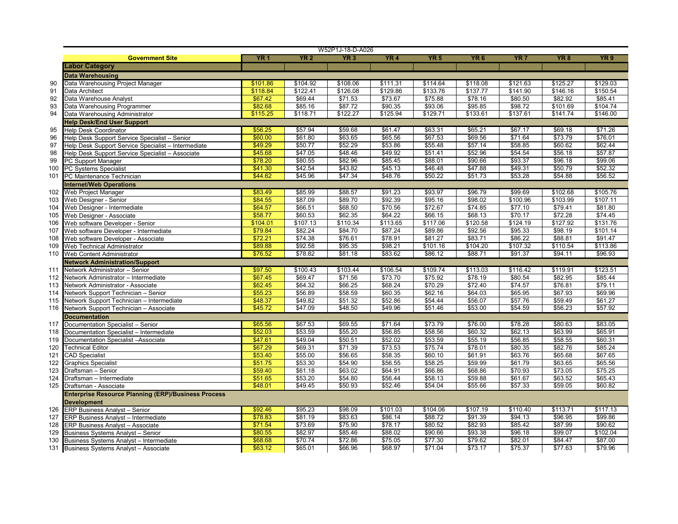|     |                                                                                |            |                 | W52P1J-18-D-A026 |                 |             |                 |                 |                 |                 |
|-----|--------------------------------------------------------------------------------|------------|-----------------|------------------|-----------------|-------------|-----------------|-----------------|-----------------|-----------------|
|     | <b>Government Site</b>                                                         | <b>YR1</b> | YR <sub>2</sub> | YR3              | YR <sub>4</sub> | <b>YR 5</b> | YR <sub>6</sub> | YR <sub>7</sub> | YR <sub>8</sub> | YR <sub>9</sub> |
|     | <b>Labor Category</b>                                                          |            |                 |                  |                 |             |                 |                 |                 |                 |
|     | <b>Data Warehousing</b>                                                        |            |                 |                  |                 |             |                 |                 |                 |                 |
| 90  | Data Warehousing Project Manager                                               | \$101.86   | \$104.92        | \$108.06         | \$111.31        | \$114.64    | \$118.08        | \$121.63        | \$125.27        | \$129.03        |
| 91  | Data Architect                                                                 | \$118.84   | \$122.41        | \$126.08         | \$129.86        | \$133.76    | \$137.77        | \$141.90        | \$146.16        | \$150.54        |
| 92  | Data Warehouse Analyst                                                         | \$67.42    | \$69.44         | \$71.53          | \$73.67         | \$75.88     | \$78.16         | \$80.50         | \$82.92         | \$85.41         |
| 93  | Data Warehousing Programmer                                                    | \$82.68    | \$85.16         | \$87.72          | \$90.35         | \$93.06     | \$95.85         | \$98.72         | \$101.69        | \$104.74        |
| 94  | Data Warehousing Administrator                                                 | \$115.25   | \$118.71        | \$122.27         | \$125.94        | \$129.71    | \$133.61        | \$137.61        | \$141.74        | \$146.00        |
|     | <b>Help Desk/End User Support</b>                                              |            |                 |                  |                 |             |                 |                 |                 |                 |
| 95  | <b>Help Desk Coordinator</b>                                                   | \$56.25    | \$57.94         | \$59.68          | \$61.47         | \$63.31     | \$65.21         | \$67.17         | \$69.18         | \$71.26         |
| 96  | Help Desk Support Service Specialist - Senior                                  | \$60.00    | \$61.80         | \$63.65          | \$65.56         | \$67.53     | \$69.56         | \$71.64         | \$73.79         | \$76.01         |
| 97  | Help Desk Support Service Specialist - Intermediate                            | \$49.29    | \$50.77         | \$52.29          | \$53.86         | \$55.48     | \$57.14         | \$58.85         | \$60.62         | \$62.44         |
| 98  | Help Desk Support Service Specialist - Associate                               | \$45.68    | \$47.05         | \$48.46          | \$49.92         | \$51.41     | \$52.96         | \$54.54         | \$56.18         | \$57.87         |
| 99  | PC Support Manager                                                             | \$78.20    | \$80.55         | \$82.96          | \$85.45         | \$88.01     | \$90.66         | \$93.37         | \$96.18         | \$99.06         |
| 100 | PC Systems Specialist                                                          | \$41.30    | \$42.54         | \$43.82          | \$45.13         | \$46.48     | \$47.88         | \$49.31         | \$50.79         | \$52.32         |
| 101 | PC Maintenance Technician                                                      | \$44.62    | \$45.96         | \$47.34          | \$48.76         | \$50.22     | \$51.73         | \$53.28         | \$54.88         | \$56.52         |
|     | <b>Internet/Web Operations</b>                                                 |            |                 |                  |                 |             |                 |                 |                 |                 |
| 102 | Web Project Manager                                                            | \$83.49    | \$85.99         | \$88.57          | \$91.23         | \$93.97     | \$96.79         | \$99.69         | \$102.68        | \$105.76        |
| 103 | Web Designer - Senior                                                          | \$84.55    | \$87.09         | \$89.70          | \$92.39         | \$95.16     | \$98.02         | \$100.96        | \$103.99        | \$107.11        |
| 104 | Web Designer - Intermediate                                                    | \$64.57    | \$66.51         | \$68.50          | \$70.56         | \$72.67     | \$74.85         | \$77.10         | \$79.41         | \$81.80         |
| 105 | Web Designer - Associate                                                       | \$58.77    | \$60.53         | \$62.35          | \$64.22         | \$66.15     | \$68.13         | \$70.17         | \$72.28         | \$74.45         |
| 106 | Web software Developer - Senior                                                | \$104.01   | \$107.13        | \$110.34         | \$113.65        | \$117.06    | \$120.58        | \$124.19        | \$127.92        | \$131.76        |
| 107 | Web software Developer - Intermediate                                          | \$79.84    | \$82.24         | \$84.70          | \$87.24         | \$89.86     | \$92.56         | \$95.33         | \$98.19         | \$101.14        |
| 108 | Web software Developer - Associate                                             | \$72.21    | \$74.38         | \$76.61          | \$78.91         | \$81.27     | \$83.71         | \$86.22         | \$88.81         | \$91.47         |
| 109 | Web Technical Administrator                                                    | \$89.88    | \$92.58         | \$95.35          | \$98.21         | \$101.16    | \$104.20        | \$107.32        | \$110.54        | \$113.86        |
| 110 | Web Content Administrator                                                      | \$76.52    | \$78.82         | \$81.18          | \$83.62         | \$86.12     | \$88.71         | \$91.37         | \$94.11         | \$96.93         |
|     | <b>Network Administration/Support</b>                                          |            |                 |                  |                 |             |                 |                 |                 |                 |
| 111 | Network Administrator - Senior                                                 | \$97.50    | \$100.43        | \$103.44         | \$106.54        | \$109.74    | \$113.03        | \$116.42        | \$119.91        | \$123.51        |
| 112 | Network Administrator - Intermediate                                           | \$67.45    | \$69.47         | \$71.56          | \$73.70         | \$75.92     | \$78.19         | \$80.54         | \$82.95         | \$85.44         |
| 113 | Network Administrator - Associate                                              | \$62.45    | \$64.32         | \$66.25          | \$68.24         | \$70.29     | \$72.40         | \$74.57         | \$76.81         | \$79.11         |
| 114 | Network Support Technician - Senior                                            | \$55.23    | \$56.89         | \$58.59          | \$60.35         | \$62.16     | \$64.03         | \$65.95         | \$67.93         | \$69.96         |
| 115 | Network Support Technician - Intermediate                                      | \$48.37    | \$49.82         | \$51.32          | \$52.86         | \$54.44     | \$56.07         | \$57.76         | \$59.49         | \$61.27         |
| 116 | Network Support Technician - Associate                                         | \$45.72    | \$47.09         | \$48.50          | \$49.96         | \$51.46     | \$53.00         | \$54.59         | \$56.23         | \$57.92         |
|     | <b>Documentation</b>                                                           |            |                 |                  |                 |             |                 |                 |                 |                 |
| 117 | Documentation Specialist - Senior                                              | \$65.56    | \$67.53         | \$69.55          | \$71.64         | \$73.79     | \$76.00         | \$78.28         | \$80.63         | \$83.05         |
| 118 |                                                                                | \$52.03    | \$53.59         | \$55.20          | \$56.85         | \$58.56     | \$60.32         | \$62.13         | \$63.99         | \$65.91         |
| 119 | Documentation Specialist - Intermediate<br>Documentation Specialist -Associate | \$47.61    | \$49.04         | \$50.51          | \$52.02         | \$53.59     | \$55.19         | \$56.85         | \$58.55         | \$60.31         |
| 120 | <b>Technical Editor</b>                                                        | \$67.29    | \$69.31         | \$71.39          | \$73.53         | \$75.74     | \$78.01         | \$80.35         | \$82.76         | \$85.24         |
| 121 | <b>CAD Specialist</b>                                                          | \$53.40    | \$55.00         | \$56.65          | \$58.35         | \$60.10     | \$61.91         | \$63.76         | \$65.68         | \$67.65         |
| 122 | <b>Graphics Specialist</b>                                                     | \$51.75    | \$53.30         | \$54.90          | \$56.55         | \$58.25     | \$59.99         | \$61.79         | \$63.65         | \$65.56         |
| 123 | Draftsman - Senior                                                             | \$59.40    | \$61.18         | \$63.02          | \$64.91         | \$66.86     | \$68.86         | \$70.93         | \$73.05         | \$75.25         |
| 124 | Draftsman - Intermediate                                                       | \$51.65    | \$53.20         | \$54.80          | \$56.44         | \$58.13     | \$59.88         | \$61.67         | \$63.52         | \$65.43         |
| 125 | Draftsman - Associate                                                          | \$48.01    | \$49.45         | \$50.93          | \$52.46         | \$54.04     | \$55.66         | \$57.33         | \$59.05         | \$60.82         |
|     |                                                                                |            |                 |                  |                 |             |                 |                 |                 |                 |
|     | <b>Enterprise Resource Planning (ERP)/Business Process</b>                     |            |                 |                  |                 |             |                 |                 |                 |                 |
| 126 | <b>Development</b><br><b>ERP Business Analyst - Senior</b>                     | \$92.46    | \$95.23         | \$98.09          | \$101.03        | \$104.06    | \$107.19        | \$110.40        | \$113.71        | \$117.13        |
| 127 | <b>ERP Business Analyst - Intermediate</b>                                     | \$78.83    | \$81.19         | \$83.63          | \$86.14         | \$88.72     | \$91.39         | \$94.13         | \$96.95         | \$99.86         |
| 128 | <b>ERP Business Analyst - Associate</b>                                        | \$71.54    | \$73.69         | \$75.90          | \$78.17         | \$80.52     | \$82.93         | \$85.42         | \$87.99         | \$90.62         |
| 129 | <b>Business Systems Analyst - Senior</b>                                       | \$80.55    | \$82.97         | \$85.46          | \$88.02         | \$90.66     | \$93.38         | \$96.18         | \$99.07         | \$102.04        |
| 130 | Business Systems Analyst - Intermediate                                        | \$68.68    | \$70.74         | \$72.86          | \$75.05         | \$77.30     | \$79.62         | \$82.01         | \$84.47         | \$87.00         |
|     | <b>Business Systems Analyst - Associate</b>                                    | \$63.12    | \$65.01         | \$66.96          | \$68.97         | \$71.04     | \$73.17         | \$75.37         | \$77.63         | \$79.96         |
| 131 |                                                                                |            |                 |                  |                 |             |                 |                 |                 |                 |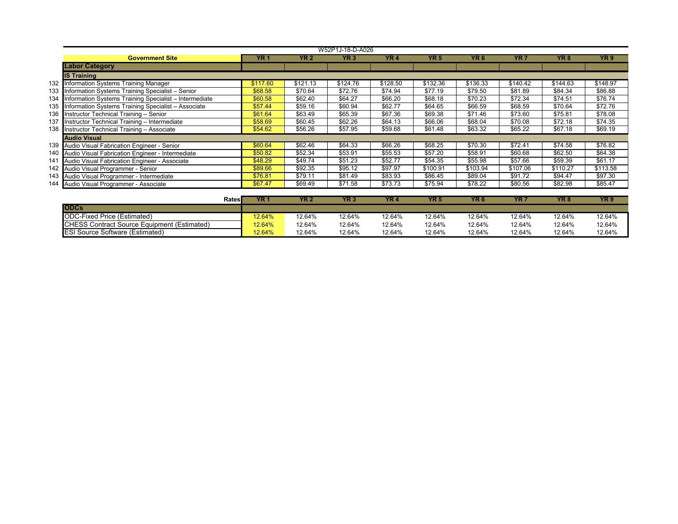|     | W52P1J-18-D-A026                                        |            |             |                 |                 |             |                 |                 |          |                 |  |  |  |
|-----|---------------------------------------------------------|------------|-------------|-----------------|-----------------|-------------|-----------------|-----------------|----------|-----------------|--|--|--|
|     | <b>Government Site</b>                                  | <b>YR1</b> | <b>YR 2</b> | YR <sub>3</sub> | YR <sub>4</sub> | <b>YR 5</b> | YR <sub>6</sub> | YR <sub>7</sub> | YR 8     | YR <sub>9</sub> |  |  |  |
|     | <b>Labor Category</b>                                   |            |             |                 |                 |             |                 |                 |          |                 |  |  |  |
|     | <b>IS Training</b>                                      |            |             |                 |                 |             |                 |                 |          |                 |  |  |  |
|     | 132 Information Systems Training Manager                | \$117.60   | \$121.13    | \$124.76        | \$128.50        | \$132.36    | \$136.33        | \$140.42        | \$144.63 | \$148.97        |  |  |  |
| 133 | Information Systems Training Specialist - Senior        | \$68.58    | \$70.64     | \$72.76         | \$74.94         | \$77.19     | \$79.50         | \$81.89         | \$84.34  | \$86.88         |  |  |  |
| 134 | Information Systems Training Specialist - Intermediate  | \$60.58    | \$62.40     | \$64.27         | \$66.20         | \$68.18     | \$70.23         | \$72.34         | \$74.51  | \$76.74         |  |  |  |
|     | 135 Information Systems Training Specialist - Associate | \$57.44    | \$59.16     | \$60.94         | \$62.77         | \$64.65     | \$66.59         | \$68.59         | \$70.64  | \$72.76         |  |  |  |
|     | 136 Instructor Technical Training - Senior              | \$61.64    | \$63.49     | \$65.39         | \$67.36         | \$69.38     | \$71.46         | \$73.60         | \$75.81  | \$78.08         |  |  |  |
| 137 | Instructor Technical Training - Intermediate            | \$58.69    | \$60.45     | \$62.26         | \$64.13         | \$66.06     | \$68.04         | \$70.08         | \$72.18  | \$74.35         |  |  |  |
|     | 138 Instructor Technical Training - Associate           | \$54.62    | \$56.26     | \$57.95         | \$59.68         | \$61.48     | \$63.32         | \$65.22         | \$67.18  | \$69.19         |  |  |  |
|     | <b>Audio Visual</b>                                     |            |             |                 |                 |             |                 |                 |          |                 |  |  |  |
|     | 139 Audio Visual Fabrication Engineer - Senior          | \$60.64    | \$62.46     | \$64.33         | \$66.26         | \$68.25     | \$70.30         | \$72.41         | \$74.58  | \$76.82         |  |  |  |
|     | 140 Audio Visual Fabrication Engineer - Intermediate    | \$50.82    | \$52.34     | \$53.91         | \$55.53         | \$57.20     | \$58.91         | \$60.68         | \$62.50  | \$64.38         |  |  |  |
| 141 | Audio Visual Fabrication Engineer - Associate           | \$48.29    | \$49.74     | \$51.23         | \$52.77         | \$54.35     | \$55.98         | \$57.66         | \$59.39  | \$61.17         |  |  |  |
|     | 142 Audio Visual Programmer - Senior                    | \$89.66    | \$92.35     | \$95.12         | \$97.97         | \$100.91    | \$103.94        | \$107.06        | \$110.27 | \$113.58        |  |  |  |
|     | 143 Audio Visual Programmer - Intermediate              | \$76.81    | \$79.11     | \$81.49         | \$83.93         | \$86.45     | \$89.04         | \$91.72         | \$94.47  | \$97.30         |  |  |  |
|     | 144 Audio Visual Programmer - Associate                 | \$67.47    | \$69.49     | \$71.58         | \$73.73         | \$75.94     | \$78.22         | \$80.56         | \$82.98  | \$85.47         |  |  |  |
|     |                                                         |            |             |                 |                 |             |                 |                 |          |                 |  |  |  |

| Ratesl                                      | <b>YR</b> | YR 2   | YR3    | YR.    | YR 5   | YR <sub>6</sub> | YR '   | YR <sub>8</sub> | YR 9   |
|---------------------------------------------|-----------|--------|--------|--------|--------|-----------------|--------|-----------------|--------|
| <b>ODCs</b>                                 |           |        |        |        |        |                 |        |                 |        |
| <b>IODC-Fixed Price (Estimated)</b>         | 12.64%    | 12.64% | 12.64% | 12.64% | 12.64% | 12.64%          | 12.64% | 12.64%          | 12.64% |
| CHESS Contract Source Equipment (Estimated) | 12.64%    | 12.64% | 12.64% | 12.64% | 12.64% | 12.64%          | 12.64% | 12.64%          | 12.64% |
| <b>ESI Source Software (Estimated)</b>      | 12.64%    | 12.64% | 12.64% | 12.64% | 12.64% | 12.64%          | 12.64% | 12.64%          | 12.64% |
|                                             |           |        |        |        |        |                 |        |                 |        |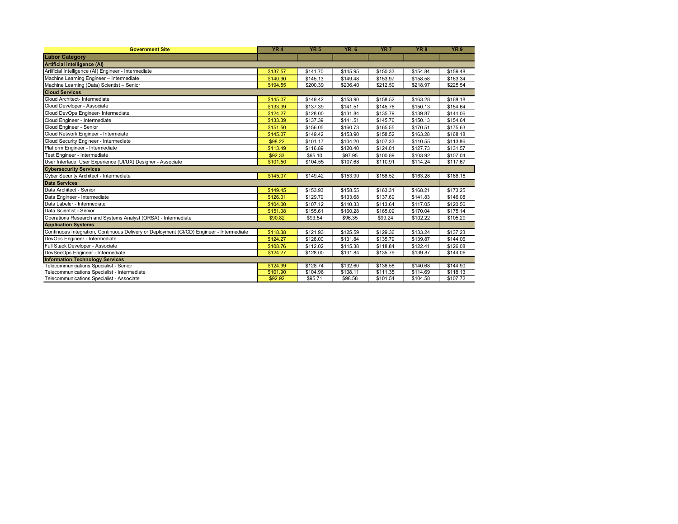| <b>Government Site</b>                                                                    | YR4      | YR <sub>5</sub> | YR <sub>6</sub> | YR <sub>7</sub> | YR <sub>8</sub> | YR <sub>9</sub> |
|-------------------------------------------------------------------------------------------|----------|-----------------|-----------------|-----------------|-----------------|-----------------|
| <b>Labor Category</b>                                                                     |          |                 |                 |                 |                 |                 |
| <b>Artificial Intelligence (AI)</b>                                                       |          |                 |                 |                 |                 |                 |
| Artificial Intelligence (AI) Engineer - Intermediate                                      | \$137.57 | \$141.70        | \$145.95        | \$150.33        | \$154.84        | \$159.48        |
| Machine Learning Engineer - Intermediate                                                  | \$140.90 | \$145.13        | \$149.48        | \$153.97        | \$158.58        | \$163.34        |
| Machine Learning (Data) Scientist - Senior                                                | \$194.55 | \$200.39        | \$206.40        | \$212.59        | \$218.97        | \$225.54        |
| <b>Cloud Services</b>                                                                     |          |                 |                 |                 |                 |                 |
| Cloud Architect- Intermediate                                                             | \$145.07 | \$149.42        | \$153.90        | \$158.52        | \$163.28        | \$168.18        |
| Cloud Developer - Associate                                                               | \$133.39 | \$137.39        | \$141.51        | \$145.76        | \$150.13        | \$154.64        |
| Cloud DevOps Engineer- Intermediate                                                       | \$124.27 | \$128.00        | \$131.84        | \$135.79        | \$139.87        | \$144.06        |
| Cloud Engineer - Intermediate                                                             | \$133.39 | \$137.39        | \$141.51        | \$145.76        | \$150.13        | \$154.64        |
| Cloud Engineer - Senior                                                                   | \$151.50 | \$156.05        | \$160.73        | \$165.55        | \$170.51        | \$175.63        |
| Cloud Network Engineer - Intermeiate                                                      | \$145.07 | \$149.42        | \$153.90        | \$158.52        | \$163.28        | \$168.18        |
| Cloud Security Engineer - Intermediate                                                    | \$98.22  | \$101.17        | \$104.20        | \$107.33        | \$110.55        | \$113.86        |
| Platform Engineer - Intermediate                                                          | \$113.49 | \$116.89        | \$120.40        | \$124.01        | \$127.73        | \$131.57        |
| Test Engineer - Intermediate                                                              | \$92.33  | \$95.10         | \$97.95         | \$100.89        | \$103.92        | \$107.04        |
| User Interface, User Experience (UI/UX) Designer - Associate                              | \$101.50 | \$104.55        | \$107.68        | \$110.91        | \$114.24        | \$117.67        |
| <b>Cybersecurity Services</b>                                                             |          |                 |                 |                 |                 |                 |
| Cyber Security Architect - Intermediate                                                   | \$145.07 | \$149.42        | \$153.90        | \$158.52        | \$163.28        | \$168.18        |
| <b>Data Services</b>                                                                      |          |                 |                 |                 |                 |                 |
| Data Architect - Senior                                                                   | \$149.45 | \$153.93        | \$158.55        | \$163.31        | \$168.21        | \$173.25        |
| Data Engineer - Intermediate                                                              | \$126.01 | \$129.79        | \$133.68        | \$137.69        | \$141.83        | \$146.08        |
| Data Labeler - Intermediate                                                               | \$104.00 | \$107.12        | \$110.33        | \$113.64        | \$117.05        | \$120.56        |
| Data Scientist - Senior                                                                   | \$151.08 | \$155.61        | \$160.28        | \$165.09        | \$170.04        | \$175.14        |
| Operations Research and Systems Analyst (ORSA) - Intermediate                             | \$90.82  | \$93.54         | \$96.35         | \$99.24         | \$102.22        | \$105.29        |
| <b>Application Systems</b>                                                                |          |                 |                 |                 |                 |                 |
| Continuous Integration, Continuous Delivery or Deployment (CI/CD) Engineer - Intermediate | \$118.38 | \$121.93        | \$125.59        | \$129.36        | \$133.24        | \$137.23        |
| DevOps Engineer - Intermediate                                                            | \$124.27 | \$128.00        | \$131.84        | \$135.79        | \$139.87        | \$144.06        |
| Full Stack Developer - Associate                                                          | \$108.76 | \$112.02        | \$115.38        | \$118.84        | \$122.41        | \$126.08        |
| DevSecOps Engineer - Intermediate                                                         | \$124.27 | \$128.00        | \$131.84        | \$135.79        | \$139.87        | \$144.06        |
| <b>Information Technology Services</b>                                                    |          |                 |                 |                 |                 |                 |
| Telecommunications Specialist - Senior                                                    | \$124.99 | \$128.74        | \$132.60        | \$136.58        | \$140.68        | \$144.90        |
| Telecommunications Specialist - Intermediate                                              | \$101.90 | \$104.96        | \$108.11        | \$111.35        | \$114.69        | \$118.13        |
| Telecommunications Specialist - Associate                                                 | \$92.92  | \$95.71         | \$98.58         | \$101.54        | \$104.58        | \$107.72        |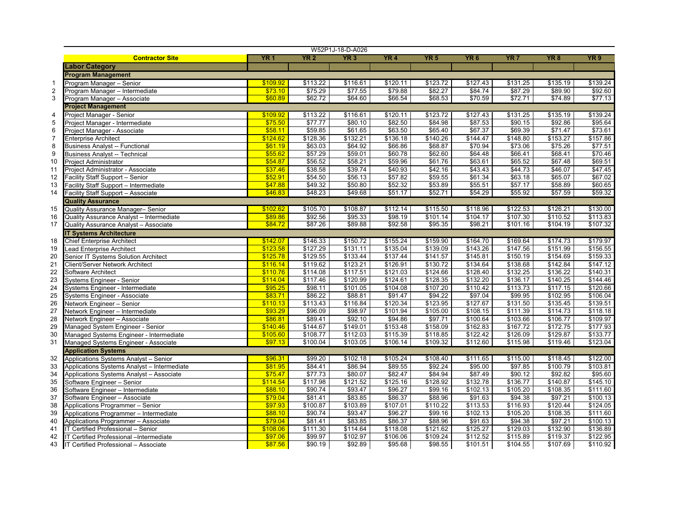|                |                                             |            |             | W52P1J-18-D-A026 |            |                 |                 |                 |                 |                 |
|----------------|---------------------------------------------|------------|-------------|------------------|------------|-----------------|-----------------|-----------------|-----------------|-----------------|
|                | <b>Contractor Site</b>                      | <b>YR1</b> | <b>YR 2</b> | YR3              | <b>YR4</b> | YR <sub>5</sub> | YR <sub>6</sub> | YR <sub>7</sub> | YR <sub>8</sub> | YR <sub>9</sub> |
|                | Labor Category                              |            |             |                  |            |                 |                 |                 |                 |                 |
|                | <b>Program Management</b>                   |            |             |                  |            |                 |                 |                 |                 |                 |
| $\overline{1}$ | Program Manager - Senior                    | \$109.92   | \$113.22    | \$116.61         | \$120.11   | \$123.72        | \$127.43        | \$131.25        | \$135.19        | \$139.24        |
| $\overline{2}$ | Program Manager - Intermediate              | \$73.10    | \$75.29     | \$77.55          | \$79.88    | \$82.27         | \$84.74         | \$87.29         | \$89.90         | \$92.60         |
| 3              | Program Manager - Associate                 | \$60.89    | \$62.72     | \$64.60          | \$66.54    | \$68.53         | \$70.59         | \$72.71         | \$74.89         | \$77.13         |
|                | <b>Project Management</b>                   |            |             |                  |            |                 |                 |                 |                 |                 |
| $\overline{4}$ | Project Manager - Senior                    | \$109.92   | \$113.22    | \$116.61         | \$120.11   | \$123.72        | \$127.43        | \$131.25        | \$135.19        | \$139.24        |
| $\sqrt{5}$     | Project Manager - Intermediate              | \$75.50    | \$77.77     | \$80.10          | \$82.50    | \$84.98         | \$87.53         | \$90.15         | \$92.86         | \$95.64         |
| 6              | Project Manager - Associate                 | \$58.11    | \$59.85     | \$61.65          | \$63.50    | \$65.40         | \$67.37         | \$69.39         | \$71.47         | \$73.61         |
| $\overline{7}$ | <b>Enterprise Architect</b>                 | \$124.62   | \$128.36    | \$132.21         | \$136.18   | \$140.26        | \$144.47        | \$148.80        | \$153.27        | \$157.86        |
| 8              | <b>Business Analyst -- Functional</b>       | \$61.19    | \$63.03     | \$64.92          | \$66.86    | \$68.87         | \$70.94         | \$73.06         | \$75.26         | \$77.51         |
| 9              | <b>Business Analyst -- Technical</b>        | \$55.62    | \$57.29     | \$59.01          | \$60.78    | \$62.60         | \$64.48         | \$66.41         | \$68.41         | \$70.46         |
| 10             | <b>Project Administrator</b>                | \$54.87    | \$56.52     | \$58.21          | \$59.96    | \$61.76         | \$63.61         | \$65.52         | \$67.48         | \$69.51         |
| 11             | Project Administrator - Associate           | \$37.46    | \$38.58     | \$39.74          | \$40.93    | \$42.16         | \$43.43         | \$44.73         | \$46.07         | \$47.45         |
| 12             | Facility Staff Support - Senior             | \$52.91    | \$54.50     | \$56.13          | \$57.82    | \$59.55         | \$61.34         | \$63.18         | \$65.07         | \$67.02         |
| 13             | Facility Staff Support - Intermediate       | \$47.88    | \$49.32     | \$50.80          | \$52.32    | \$53.89         | \$55.51         | \$57.17         | \$58.89         | \$60.65         |
| 14             | Facility Staff Support - Associate          | \$46.83    | \$48.23     | \$49.68          | \$51.17    | \$52.71         | \$54.29         | \$55.92         | \$57.59         | \$59.32         |
|                | <b>Quality Assurance</b>                    |            |             |                  |            |                 |                 |                 |                 |                 |
| 15             | Quality Assurance Manager- Senior           | \$102.62   | \$105.70    | \$108.87         | \$112.14   | \$115.50        | \$118.96        | \$122.53        | \$126.21        | \$130.00        |
| 16             | Quality Assurance Analyst - Intermediate    | \$89.86    | \$92.56     | \$95.33          | \$98.19    | \$101.14        | \$104.17        | \$107.30        | \$110.52        | \$113.83        |
| 17             | Quality Assurance Analyst - Associate       | \$84.72    | \$87.26     | \$89.88          | \$92.58    | \$95.35         | \$98.21         | \$101.16        | \$104.19        | \$107.32        |
|                | <b>IT Systems Architecture</b>              |            |             |                  |            |                 |                 |                 |                 |                 |
| 18             | <b>Chief Enterprise Architect</b>           | \$142.07   | \$146.33    | \$150.72         | \$155.24   | \$159.90        | \$164.70        | \$169.64        | \$174.73        | \$179.97        |
| 19             | <b>Lead Enterprise Architect</b>            | \$123.58   | \$127.29    | \$131.11         | \$135.04   | \$139.09        | \$143.26        | \$147.56        | \$151.99        | \$156.55        |
| 20             | Senior IT Systems Solution Architect        | \$125.78   | \$129.55    | \$133.44         | \$137.44   | \$141.57        | \$145.81        | \$150.19        | \$154.69        | \$159.33        |
| 21             | Client/Server Network Architect             | \$116.14   | \$119.62    | \$123.21         | \$126.91   | \$130.72        | \$134.64        | \$138.68        | \$142.84        | \$147.12        |
| 22             | Software Architect                          | \$110.76   | \$114.08    | \$117.51         | \$121.03   | \$124.66        | \$128.40        | \$132.25        | \$136.22        | \$140.31        |
| 23             | Systems Engineer - Senior                   | \$114.04   | \$117.46    | \$120.99         | \$124.61   | \$128.35        | \$132.20        | \$136.17        | \$140.25        | \$144.46        |
| 24             | Systems Engineer - Intermediate             | \$95.25    | \$98.11     | \$101.05         | \$104.08   | \$107.20        | \$110.42        | \$113.73        | \$117.15        | \$120.66        |
| 25             | Systems Engineer - Associate                | \$83.71    | \$86.22     | \$88.81          | \$91.47    | \$94.22         | \$97.04         | \$99.95         | \$102.95        | \$106.04        |
| 26             | Network Engineer - Senior                   | \$110.13   | \$113.43    | \$116.84         | \$120.34   | \$123.95        | \$127.67        | \$131.50        | \$135.45        | \$139.51        |
| 27             | Network Engineer - Intermediate             | \$93.29    | \$96.09     | \$98.97          | \$101.94   | \$105.00        | \$108.15        | \$111.39        | \$114.73        | \$118.18        |
| 28             | Network Engineer - Associate                | \$86.81    | \$89.41     | \$92.10          | \$94.86    | \$97.71         | \$100.64        | \$103.66        | \$106.77        | \$109.97        |
| 29             | Managed System Engineer - Senior            | \$140.46   | \$144.67    | \$149.01         | \$153.48   | \$158.09        | \$162.83        | \$167.72        | \$172.75        | \$177.93        |
| 30             | Managed Systems Engineer - Intermediate     | \$105.60   | \$108.77    | \$112.03         | \$115.39   | \$118.85        | \$122.42        | \$126.09        | \$129.87        | \$133.77        |
| 31             | Managed Systems Engineer - Associate        | \$97.13    | \$100.04    | \$103.05         | \$106.14   | \$109.32        | \$112.60        | \$115.98        | \$119.46        | \$123.04        |
|                | <b>Application Systems</b>                  |            |             |                  |            |                 |                 |                 |                 |                 |
| 32             | Applications Systems Analyst - Senior       | \$96.31    | \$99.20     | \$102.18         | \$105.24   | \$108.40        | \$111.65        | \$115.00        | \$118.45        | \$122.00        |
| 33             | Applications Systems Analyst - Intermediate | \$81.95    | \$84.41     | \$86.94          | \$89.55    | \$92.24         | \$95.00         | \$97.85         | \$100.79        | \$103.81        |
| 34             | Applications Systems Analyst - Associate    | \$75.47    | \$77.73     | \$80.07          | \$82.47    | \$84.94         | \$87.49         | \$90.12         | \$92.82         | \$95.60         |
| 35             | Software Engineer - Senior                  | \$114.54   | \$117.98    | \$121.52         | \$125.16   | \$128.92        | \$132.78        | \$136.77        | \$140.87        | \$145.10        |
| 36             | Software Engineer - Intermediate            | \$88.10    | \$90.74     | \$93.47          | \$96.27    | \$99.16         | \$102.13        | \$105.20        | \$108.35        | \$111.60        |
| 37             | Software Engineer - Associate               | \$79.04    | \$81.41     | \$83.85          | \$86.37    | \$88.96         | \$91.63         | \$94.38         | \$97.21         | \$100.13        |
| 38             | Applications Programmer - Senior            | \$97.93    | \$100.87    | \$103.89         | \$107.01   | \$110.22        | \$113.53        | \$116.93        | \$120.44        | \$124.05        |
| 39             | Applications Programmer - Intermediate      | \$88.10    | \$90.74     | \$93.47          | \$96.27    | \$99.16         | \$102.13        | \$105.20        | \$108.35        | \$111.60        |
| 40             | Applications Programmer - Associate         | \$79.04    | \$81.41     | \$83.85          | \$86.37    | \$88.96         | \$91.63         | \$94.38         | \$97.21         | \$100.13        |
| 41             | IT Certified Professional - Senior          | \$108.06   | \$111.30    | \$114.64         | \$118.08   | \$121.62        | \$125.27        | \$129.03        | \$132.90        | \$136.89        |
| 42             | IT Certified Professional -Intermediate     | \$97.06    | \$99.97     | \$102.97         | \$106.06   | \$109.24        | \$112.52        | \$115.89        | \$119.37        | \$122.95        |
| 43             | IT Certified Professional - Associate       | \$87.56    | \$90.19     | \$92.89          | \$95.68    | \$98.55         | \$101.51        | \$104.55        | \$107.69        | \$110.92        |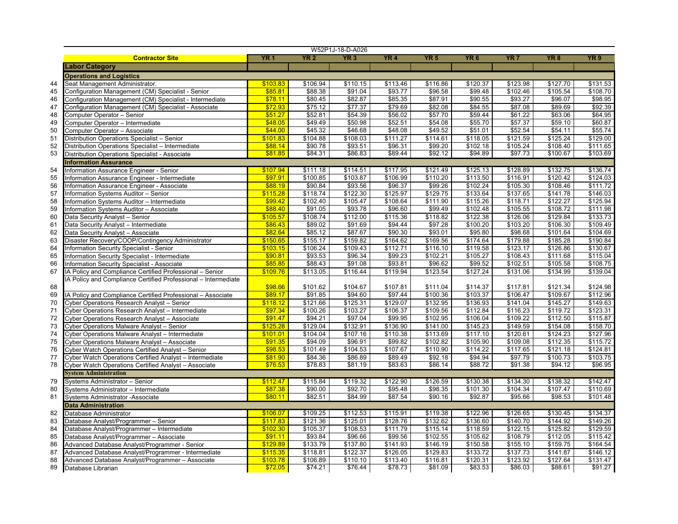|    |                                                                |            |                 | W52P1J-18-D-A026 |          |                 |                 |                 |                 |                 |
|----|----------------------------------------------------------------|------------|-----------------|------------------|----------|-----------------|-----------------|-----------------|-----------------|-----------------|
|    | <b>Contractor Site</b>                                         | <b>YR1</b> | YR <sub>2</sub> | YR <sub>3</sub>  | YR4      | YR <sub>5</sub> | YR <sub>6</sub> | YR <sub>7</sub> | YR <sub>8</sub> | YR <sub>9</sub> |
|    | <b>Labor Category</b>                                          |            |                 |                  |          |                 |                 |                 |                 |                 |
|    | <b>Operations and Logistics</b>                                |            |                 |                  |          |                 |                 |                 |                 |                 |
| 44 | Seat Management Administrator.                                 | \$103.83   | \$106.94        | \$110.15         | \$113.46 | \$116.86        | \$120.37        | \$123.98        | \$127.70        | \$131.53        |
| 45 | Configuration Management (CM) Specialist - Senior              | \$85.81    | \$88.38         | \$91.04          | \$93.77  | \$96.58         | \$99.48         | \$102.46        | \$105.54        | \$108.70        |
| 46 | Configuration Management (CM) Specialist - Intermediate        | \$78.11    | \$80.45         | \$82.87          | \$85.35  | \$87.91         | \$90.55         | \$93.27         | \$96.07         | \$98.95         |
| 47 | Configuration Management (CM) Specialist - Associate           | \$72.93    | \$75.12         | \$77.37          | \$79.69  | \$82.08         | \$84.55         | \$87.08         | \$89.69         | \$92.39         |
| 48 | Computer Operator - Senior                                     | \$51.27    | \$52.81         | \$54.39          | \$56.02  | \$57.70         | \$59.44         | \$61.22         | \$63.06         | \$64.95         |
| 49 | Computer Operator - Intermediate                               | \$48.05    | \$49.49         | \$50.98          | \$52.51  | \$54.08         | \$55.70         | \$57.37         | \$59.10         | \$60.87         |
| 50 | Computer Operator - Associate                                  | \$44.00    | \$45.32         | \$46.68          | \$48.08  | \$49.52         | \$51.01         | \$52.54         | \$54.11         | \$55.74         |
| 51 | Distribution Operations Specialist - Senior                    | \$101.83   | \$104.88        | \$108.03         | \$111.27 | \$114.61        | \$118.05        | \$121.59        | \$125.24        | \$129.00        |
| 52 | Distribution Operations Specialist - Intermediate              | \$88.14    | \$90.78         | \$93.51          | \$96.31  | \$99.20         | \$102.18        | \$105.24        | \$108.40        | \$111.65        |
| 53 | Distribution Operations Specialist - Associate                 | \$81.85    | \$84.31         | \$86.83          | \$89.44  | \$92.12         | \$94.89         | \$97.73         | \$100.67        | \$103.69        |
|    | <b>Information Assurance</b>                                   |            |                 |                  |          |                 |                 |                 |                 |                 |
| 54 | Information Assurance Engineer - Senior                        | \$107.94   | \$111.18        | \$114.51         | \$117.95 | \$121.49        | \$125.13        | \$128.89        | \$132.75        | \$136.74        |
| 55 | Information Assurance Engineer - Intermediate                  | \$97.91    | \$100.85        | \$103.87         | \$106.99 | \$110.20        | \$113.50        | \$116.91        | \$120.42        | \$124.03        |
| 56 | Information Assurance Engineer - Associate                     | \$88.19    | \$90.84         | \$93.56          | \$96.37  | \$99.26         | \$102.24        | \$105.30        | \$108.46        | \$111.72        |
| 57 | Information Systems Auditor - Senior                           | \$115.28   | \$118.74        | \$122.30         | \$125.97 | \$129.75        | \$133.64        | \$137.65        | \$141.78        | \$146.03        |
| 58 | Information Systems Auditor - Intermediate                     | \$99.42    | \$102.40        | \$105.47         | \$108.64 | \$111.90        | \$115.26        | \$118.71        | \$122.27        | \$125.94        |
| 59 | Information Systems Auditor - Associate                        | \$88.40    | \$91.05         | \$93.78          | \$96.60  | \$99.49         | \$102.48        | \$105.55        | \$108.72        | \$111.98        |
| 60 | Data Security Analyst - Senior                                 | \$105.57   | \$108.74        | \$112.00         | \$115.36 | \$118.82        | \$122.38        | \$126.06        | \$129.84        | \$133.73        |
| 61 | Data Security Analyst - Intermediate                           | \$86.43    | \$89.02         | \$91.69          | \$94.44  | \$97.28         | \$100.20        | \$103.20        | \$106.30        | \$109.49        |
| 62 | Data Security Analyst - Associate                              | \$82.64    | \$85.12         | \$87.67          | \$90.30  | \$93.01         | \$95.80         | \$98.68         | \$101.64        | \$104.69        |
| 63 | Disaster Recovery/COOP/Contingency Administrator               | \$150.65   | \$155.17        | \$159.82         | \$164.62 | \$169.56        | \$174.64        | \$179.88        | \$185.28        | \$190.84        |
| 64 | Information Security Specialist - Senior                       | \$103.15   | \$106.24        | \$109.43         | \$112.71 | \$116.10        | \$119.58        | \$123.17        | \$126.86        | \$130.67        |
| 65 | Information Security Specialist - Intermediate                 | \$90.81    | \$93.53         | \$96.34          | \$99.23  | \$102.21        | \$105.27        | \$108.43        | \$111.68        | \$115.04        |
| 66 | Information Security Specialist - Associate                    | \$85.85    | \$88.43         | \$91.08          | \$93.81  | \$96.62         | \$99.52         | \$102.51        | \$105.58        | \$108.75        |
| 67 | IA Policy and Compliance Certified Professional - Senior       | \$109.76   | \$113.05        | \$116.44         | \$119.94 | \$123.54        | \$127.24        | \$131.06        | \$134.99        | \$139.04        |
|    | IA Policy and Compliance Certified Professional - Intermediate |            |                 |                  |          |                 |                 |                 |                 |                 |
| 68 |                                                                | \$98.66    | \$101.62        | \$104.67         | \$107.81 | \$111.04        | \$114.37        | \$117.81        | \$121.34        | \$124.98        |
| 69 | IA Policy and Compliance Certified Professional - Associate    | \$89.17    | \$91.85         | \$94.60          | \$97.44  | \$100.36        | \$103.37        | \$106.47        | \$109.67        | \$112.96        |
| 70 | Cyber Operations Research Analyst – Senior                     | \$118.12   | \$121.66        | \$125.31         | \$129.07 | \$132.95        | \$136.93        | \$141.04        | \$145.27        | \$149.63        |
| 71 | Cyber Operations Research Analyst - Intermediate               | \$97.34    | \$100.26        | \$103.27         | \$106.37 | \$109.56        | \$112.84        | \$116.23        | \$119.72        | \$123.31        |
| 72 | Cyber Operations Research Analyst - Associate                  | \$91.47    | \$94.21         | \$97.04          | \$99.95  | \$102.95        | \$106.04        | \$109.22        | \$112.50        | \$115.87        |
| 73 | Cyber Operations Malware Analyst - Senior                      | \$125.28   | \$129.04        | \$132.91         | \$136.90 | \$141.00        | \$145.23        | \$149.59        | \$154.08        | \$158.70        |
| 74 | Cyber Operations Malware Analyst - Intermediate                | \$101.01   | \$104.04        | \$107.16         | \$110.38 | \$113.69        | \$117.10        | \$120.61        | \$124.23        | \$127.96        |
| 75 | Cyber Operations Malware Analyst - Associate                   | \$91.35    | \$94.09         | \$96.91          | \$99.82  | \$102.82        | \$105.90        | \$109.08        | \$112.35        | \$115.72        |
| 76 | Cyber Watch Operations Certified Analyst - Senior              | \$98.53    | \$101.49        | \$104.53         | \$107.67 | \$110.90        | \$114.22        | \$117.65        | \$121.18        | \$124.81        |
| 77 | Cyber Watch Operations Certified Analyst - Intermediate        | \$81.90    | \$84.36         | \$86.89          | \$89.49  | \$92.18         | \$94.94         | \$97.79         | \$100.73        | \$103.75        |
| 78 | Cyber Watch Operations Certified Analyst - Associate           | \$76.53    | \$78.83         | \$81.19          | \$83.63  | \$86.14         | \$88.72         | \$91.38         | \$94.12         | \$96.95         |
|    | <b>System Administration</b>                                   |            |                 |                  |          |                 |                 |                 |                 |                 |
| 79 | Systems Administrator - Senior                                 | \$112.47   | \$115.84        | \$119.32         | \$122.90 | \$126.59        | \$130.38        | \$134.30        | \$138.32        | \$142.47        |
| 80 | Systems Administrator - Intermediate                           | \$87.38    | \$90.00         | \$92.70          | \$95.48  | \$98.35         | \$101.30        | \$104.34        | \$107.47        | \$110.69        |
| 81 | Systems Administrator - Associate                              | \$80.11    | \$82.51         | \$84.99          | \$87.54  | \$90.16         | \$92.87         | \$95.66         | \$98.53         | \$101.48        |
|    | <b>Data Administration</b>                                     |            |                 |                  |          |                 |                 |                 |                 |                 |
| 82 | Database Administrator                                         | \$106.07   | \$109.25        | \$112.53         | \$115.91 | \$119.38        | \$122.96        | \$126.65        | \$130.45        | \$134.37        |
| 83 | Database Analyst/Programmer - Senior                           | \$117.83   | \$121.36        | \$125.01         | \$128.76 | \$132.62        | \$136.60        | \$140.70        | \$144.92        | \$149.26        |
| 84 | Database Analyst/Programmer - Intermediate                     | \$102.30   | \$105.37        | \$108.53         | \$111.79 | \$115.14        | \$118.59        | \$122.15        | \$125.82        | \$129.59        |
| 85 | Database Analyst/Programmer - Associate                        | \$91.11    | \$93.84         | \$96.66          | \$99.56  | \$102.55        | \$105.62        | \$108.79        | \$112.05        | \$115.42        |
| 86 | Advanced Database Analyst/Programmer - Senior                  | \$129.89   | \$133.79        | \$137.80         | \$141.93 | \$146.19        | \$150.58        | \$155.10        | \$159.75        | \$164.54        |
| 87 | Advanced Database Analyst/Programmer - Intermediate            | \$115.35   | \$118.81        | \$122.37         | \$126.05 | \$129.83        | \$133.72        | \$137.73        | \$141.87        | \$146.12        |
| 88 | Advanced Database Analyst/Programmer - Associate               | \$103.78   | \$106.89        | \$110.10         | \$113.40 | \$116.81        | \$120.31        | \$123.92        | \$127.64        | \$131.47        |
| 89 | Database Librarian                                             | \$72.05    | \$74.21         | \$76.44          | \$78.73  | \$81.09         | \$83.53         | \$86.03         | \$88.61         | \$91.27         |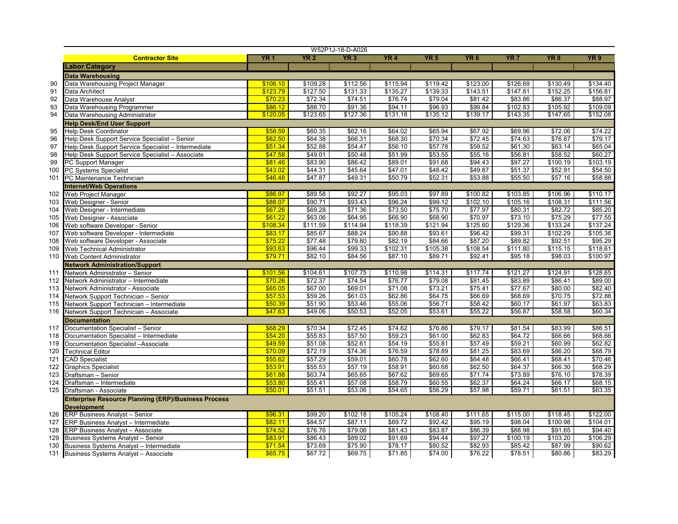|     |                                                            |            |             | W52P1J-18-D-A026 |                 |             |                     |                 |             |                 |
|-----|------------------------------------------------------------|------------|-------------|------------------|-----------------|-------------|---------------------|-----------------|-------------|-----------------|
|     | <b>Contractor Site</b>                                     | <b>YR1</b> | <b>YR 2</b> | YR <sub>3</sub>  | YR <sub>4</sub> | <b>YR 5</b> | YR <sub>6</sub>     | YR <sub>7</sub> | <b>YR 8</b> | YR <sub>9</sub> |
|     | <b>Labor Category</b>                                      |            |             |                  |                 |             |                     |                 |             |                 |
|     | <b>Data Warehousing</b>                                    |            |             |                  |                 |             |                     |                 |             |                 |
| 90  | Data Warehousing Project Manager                           | \$106.10   | \$109.28    | \$112.56         | \$115.94        | \$119.42    | \$123.00            | \$126.69        | \$130.49    | \$134.40        |
| 91  | Data Architect                                             | \$123.79   | \$127.50    | \$131.33         | \$135.27        | \$139.33    | \$143.51            | \$147.81        | \$152.25    | \$156.81        |
| 92  | Data Warehouse Analyst                                     | \$70.23    | \$72.34     | \$74.51          | \$76.74         | \$79.04     | \$81.42             | \$83.86         | \$86.37     | \$88.97         |
| 93  | Data Warehousing Programmer                                | \$86.12    | \$88.70     | \$91.36          | \$94.11         | \$96.93     | \$99.84             | \$102.83        | \$105.92    | \$109.09        |
| 94  | Data Warehousing Administrator                             | \$120.05   | \$123.65    | \$127.36         | \$131.18        | \$135.12    | \$139.17            | \$143.35        | \$147.65    | \$152.08        |
|     | <b>Help Desk/End User Support</b>                          |            |             |                  |                 |             |                     |                 |             |                 |
| 95  | <b>Help Desk Coordinator</b>                               | \$58.59    | \$60.35     | \$62.16          | \$64.02         | \$65.94     | \$67.92             | \$69.96         | \$72.06     | \$74.22         |
| 96  | Help Desk Support Service Specialist - Senior              | \$62.50    | \$64.38     | \$66.31          | \$68.30         | \$70.34     | $\overline{$}72.45$ | \$74.63         | \$76.87     | \$79.17         |
| 97  | Help Desk Support Service Specialist - Intermediate        | \$51.34    | \$52.88     | \$54.47          | \$56.10         | \$57.78     | \$59.52             | \$61.30         | \$63.14     | \$65.04         |
| 98  | Help Desk Support Service Specialist - Associate           | \$47.58    | \$49.01     | \$50.48          | \$51.99         | \$53.55     | \$55.16             | \$56.81         | \$58.52     | \$60.27         |
| 99  | PC Support Manager                                         | \$81.46    | \$83.90     | \$86.42          | \$89.01         | \$91.68     | \$94.43             | \$97.27         | \$100.19    | \$103.19        |
| 100 | <b>PC Systems Specialist</b>                               | \$43.02    | \$44.31     | \$45.64          | \$47.01         | \$48.42     | \$49.87             | \$51.37         | \$52.91     | \$54.50         |
| 101 | PC Maintenance Technician                                  | \$46.48    | \$47.87     | \$49.31          | \$50.79         | \$52.31     | \$53.88             | \$55.50         | \$57.16     | \$58.88         |
|     | <b>Internet/Web Operations</b>                             |            |             |                  |                 |             |                     |                 |             |                 |
| 102 | Web Project Manager                                        | \$86.97    | \$89.58     | \$92.27          | \$95.03         | \$97.89     | \$100.82            | \$103.85        | \$106.96    | \$110.17        |
| 103 | Web Designer - Senior                                      | \$88.07    | \$90.71     | \$93.43          | \$96.24         | \$99.12     | \$102.10            | \$105.16        | \$108.31    | \$111.56        |
| 104 | Web Designer - Intermediate                                | \$67.26    | \$69.28     | \$71.36          | \$73.50         | \$75.70     | \$77.97             | \$80.31         | \$82.72     | \$85.20         |
| 105 | Web Designer - Associate                                   | \$61.22    | \$63.06     | \$64.95          | \$66.90         | \$68.90     | \$70.97             | \$73.10         | \$75.29     | \$77.55         |
| 106 | Web software Developer - Senior                            | \$108.34   | \$111.59    | \$114.94         | \$118.39        | \$121.94    | \$125.60            | \$129.36        | \$133.24    | \$137.24        |
| 107 | Web software Developer - Intermediate                      | \$83.17    | \$85.67     | \$88.24          | \$90.88         | \$93.61     | \$96.42             | \$99.31         | \$102.29    | \$105.36        |
| 108 | Web software Developer - Associate                         | \$75.22    | \$77.48     | \$79.80          | \$82.19         | \$84.66     | \$87.20             | \$89.82         | \$92.51     | \$95.29         |
| 109 | <b>Web Technical Administrator</b>                         | \$93.63    | \$96.44     | \$99.33          | \$102.31        | \$105.38    | \$108.54            | \$111.80        | \$115.15    | \$118.61        |
| 110 | Web Content Administrator                                  | \$79.71    | \$82.10     | \$84.56          | \$87.10         | \$89.71     | \$92.41             | \$95.18         | \$98.03     | \$100.97        |
|     | <b>Network Administration/Support</b>                      |            |             |                  |                 |             |                     |                 |             |                 |
| 111 | Network Administrator - Senior                             | \$101.56   | \$104.61    | \$107.75         | \$110.98        | \$114.31    | \$117.74            | \$121.27        | \$124.91    | \$128.65        |
| 112 | Network Administrator - Intermediate                       | \$70.26    | \$72.37     | \$74.54          | \$76.77         | \$79.08     | \$81.45             | \$83.89         | \$86.41     | \$89.00         |
| 113 | Network Administrator - Associate                          | \$65.05    | \$67.00     | \$69.01          | \$71.08         | \$73.21     | \$75.41             | \$77.67         | \$80.00     | \$82.40         |
| 114 | Network Support Technician - Senior                        | \$57.53    | \$59.26     | \$61.03          | \$62.86         | \$64.75     | \$66.69             | \$68.69         | \$70.75     | \$72.88         |
| 115 | Network Support Technician - Intermediate                  | \$50.39    | \$51.90     | \$53.46          | \$55.06         | \$56.71     | \$58.42             | \$60.17         | \$61.97     | \$63.83         |
| 116 | Network Support Technician - Associate                     | \$47.63    | \$49.06     | \$50.53          | \$52.05         | \$53.61     | \$55.22             | \$56.87         | \$58.58     | \$60.34         |
|     | <b>Documentation</b>                                       |            |             |                  |                 |             |                     |                 |             |                 |
| 117 | Documentation Specialist - Senior                          | \$68.29    | \$70.34     | \$72.45          | \$74.62         | \$76.86     | \$79.17             | \$81.54         | \$83.99     | \$86.51         |
| 118 | Documentation Specialist - Intermediate                    | \$54.20    | \$55.83     | \$57.50          | \$59.23         | \$61.00     | \$62.83             | \$64.72         | \$66.66     | \$68.66         |
| 119 | Documentation Specialist -Associate                        | \$49.59    | \$51.08     | \$52.61          | \$54.19         | \$55.81     | \$57.49             | \$59.21         | \$60.99     | \$62.82         |
| 120 | <b>Technical Editor</b>                                    | \$70.09    | \$72.19     | \$74.36          | \$76.59         | \$78.89     | \$81.25             | \$83.69         | \$86.20     | \$88.79         |
| 121 | <b>CAD Specialist</b>                                      | \$55.62    | \$57.29     | \$59.01          | \$60.78         | \$62.60     | \$64.48             | \$66.41         | \$68.41     | \$70.46         |
| 122 | <b>Graphics Specialist</b>                                 | \$53.91    | \$55.53     | \$57.19          | \$58.91         | \$60.68     | \$62.50             | \$64.37         | \$66.30     | \$68.29         |
| 123 | Draftsman - Senior                                         | \$61.88    | \$63.74     | \$65.65          | \$67.62         | \$69.65     | \$71.74             | \$73.89         | \$76.10     | \$78.39         |
| 124 | Draftsman - Intermediate                                   | \$53.80    | \$55.41     | \$57.08          | \$58.79         | \$60.55     | \$62.37             | \$64.24         | \$66.17     | \$68.15         |
| 125 | Draftsman - Associate                                      | \$50.01    | \$51.51     | \$53.06          | \$54.65         | \$56.29     | \$57.98             | \$59.71         | \$61.51     | \$63.35         |
|     | <b>Enterprise Resource Planning (ERP)/Business Process</b> |            |             |                  |                 |             |                     |                 |             |                 |
|     | <b>Development</b>                                         |            |             |                  |                 |             |                     |                 |             |                 |
| 126 | <b>ERP Business Analyst - Senior</b>                       | \$96.31    | \$99.20     | \$102.18         | \$105.24        | \$108.40    | \$111.65            | \$115.00        | \$118.45    | \$122.00        |
| 127 | <b>ERP Business Analyst - Intermediate</b>                 | \$82.11    | \$84.57     | \$87.11          | \$89.72         | \$92.42     | \$95.19             | \$98.04         | \$100.98    | \$104.01        |
| 128 | <b>ERP Business Analyst - Associate</b>                    | \$74.52    | \$76.76     | \$79.06          | \$81.43         | \$83.87     | \$86.39             | \$88.98         | \$91.65     | \$94.40         |
| 129 | Business Systems Analyst - Senior                          | \$83.91    | \$86.43     | \$89.02          | \$91.69         | \$94.44     | \$97.27             | \$100.19        | \$103.20    | \$106.29        |
| 130 | Business Systems Analyst - Intermediate                    | \$71.54    | \$73.69     | \$75.90          | \$78.17         | \$80.52     | \$82.93             | \$85.42         | \$87.99     | \$90.62         |
| 131 | <b>Business Systems Analyst - Associate</b>                | \$65.75    | \$67.72     | \$69.75          | \$71.85         | \$74.00     | \$76.22             | \$78.51         | \$80.86     | \$83.29         |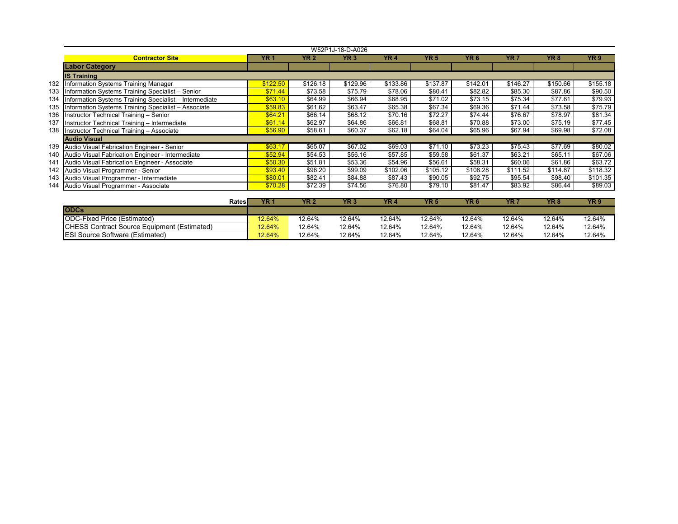|     | W52P1J-18-D-A026                                       |          |          |                 |          |          |                 |          |          |          |  |  |  |
|-----|--------------------------------------------------------|----------|----------|-----------------|----------|----------|-----------------|----------|----------|----------|--|--|--|
|     | <b>Contractor Site</b>                                 | YR 1     | YR 2     | YR <sub>3</sub> | YR 4     | YR 5     | YR <sub>6</sub> | YR 7     | YR 8     | YR 9     |  |  |  |
|     | <b>Labor Category</b>                                  |          |          |                 |          |          |                 |          |          |          |  |  |  |
|     | <b>IS Training</b>                                     |          |          |                 |          |          |                 |          |          |          |  |  |  |
| 132 | <b>Information Systems Training Manager</b>            | \$122.50 | \$126.18 | \$129.96        | \$133.86 | \$137.87 | \$142.01        | \$146.27 | \$150.66 | \$155.18 |  |  |  |
| 133 | Information Systems Training Specialist - Senior       | \$71.44  | \$73.58  | \$75.79         | \$78.06  | \$80.41  | \$82.82         | \$85.30  | \$87.86  | \$90.50  |  |  |  |
| 134 | Information Systems Training Specialist - Intermediate | \$63.10  | \$64.99  | \$66.94         | \$68.95  | \$71.02  | \$73.15         | \$75.34  | \$77.61  | \$79.93  |  |  |  |
| 135 | Information Systems Training Specialist - Associate    | \$59.83  | \$61.62  | \$63.47         | \$65.38  | \$67.34  | \$69.36         | \$71.44  | \$73.58  | \$75.79  |  |  |  |
| 136 | Instructor Technical Training - Senior                 | \$64.21  | \$66.14  | \$68.12         | \$70.16  | \$72.27  | \$74.44         | \$76.67  | \$78.97  | \$81.34  |  |  |  |
| 137 | Instructor Technical Training - Intermediate           | \$61.14  | \$62.97  | \$64.86         | \$66.81  | \$68.81  | \$70.88         | \$73.00  | \$75.19  | \$77.45  |  |  |  |
|     | 138 Instructor Technical Training - Associate          | \$56.90  | \$58.61  | \$60.37         | \$62.18  | \$64.04  | \$65.96         | \$67.94  | \$69.98  | \$72.08  |  |  |  |
|     | <b>Audio Visual</b>                                    |          |          |                 |          |          |                 |          |          |          |  |  |  |
|     | 139 Audio Visual Fabrication Engineer - Senior         | \$63.17  | \$65.07  | \$67.02         | \$69.03  | \$71.10  | \$73.23         | \$75.43  | \$77.69  | \$80.02  |  |  |  |
|     | 140 Audio Visual Fabrication Engineer - Intermediate   | \$52.94  | \$54.53  | \$56.16         | \$57.85  | \$59.58  | \$61.37         | \$63.21  | \$65.11  | \$67.06  |  |  |  |
| 141 | Audio Visual Fabrication Engineer - Associate          | \$50.30  | \$51.81  | \$53.36         | \$54.96  | \$56.61  | \$58.31         | \$60.06  | \$61.86  | \$63.72  |  |  |  |
|     | 142 Audio Visual Programmer - Senior                   | \$93.40  | \$96.20  | \$99.09         | \$102.06 | \$105.12 | \$108.28        | \$111.52 | \$114.87 | \$118.32 |  |  |  |
|     | 143 Audio Visual Programmer - Intermediate             | \$80.01  | \$82.41  | \$84.88         | \$87.43  | \$90.05  | \$92.75         | \$95.54  | \$98.40  | \$101.35 |  |  |  |
|     | 144 Audio Visual Programmer - Associate                | \$70.28  | \$72.39  | \$74.56         | \$76.80  | \$79.10  | \$81.47         | \$83.92  | \$86.44  | \$89.03  |  |  |  |
|     |                                                        |          |          |                 |          |          |                 |          |          |          |  |  |  |

| Rates                                               | YR '   | YR <sub>2</sub> | YR <sub>3</sub> | YR 4   | YR!    | YR <sub>6</sub> | YR 7   | YR 8   | YR <sub>9</sub> |
|-----------------------------------------------------|--------|-----------------|-----------------|--------|--------|-----------------|--------|--------|-----------------|
| <b>ODCs</b>                                         |        |                 |                 |        |        |                 |        |        |                 |
| ODC-Fixed Price (Estimated)                         | 12.64% | 12.64%          | 12.64%          | 12.64% | 12.64% | 12.64%          | 12.64% | 12.64% | 12.64%          |
| <b>ICHESS Contract Source Equipment (Estimated)</b> | 12.64% | 12.64%          | 12.64%          | 12.64% | 12.64% | 12.64%          | 12.64% | 12.64% | 12.64%          |
| <b>ESI Source Software (Estimated)</b>              | 12.64% | 12.64%          | 12.64%          | 12.64% | 12.64% | 12.64%          | 12.64% | 12.64% | 12.64%          |